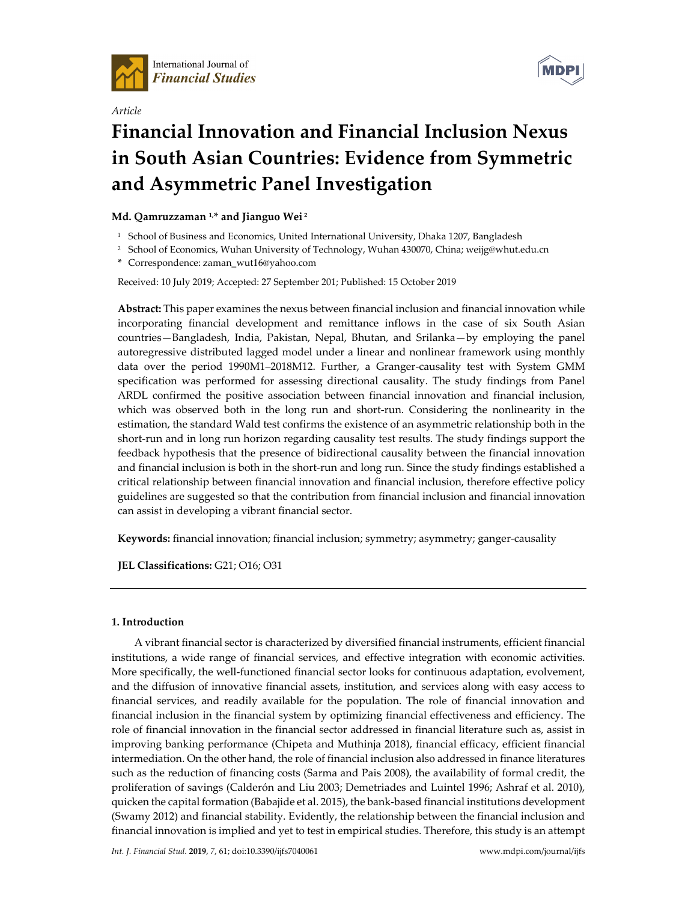

*Article* 



# **Financial Innovation and Financial Inclusion Nexus in South Asian Countries: Evidence from Symmetric and Asymmetric Panel Investigation**

# **Md. Qamruzzaman 1,\* and Jianguo Wei 2**

- <sup>1</sup> School of Business and Economics, United International University, Dhaka 1207, Bangladesh
- <sup>2</sup> School of Economics, Wuhan University of Technology, Wuhan 430070, China; weijg@whut.edu.cn

**\*** Correspondence: zaman\_wut16@yahoo.com

## Received: 10 July 2019; Accepted: 27 September 201; Published: 15 October 2019

**Abstract:** This paper examines the nexus between financial inclusion and financial innovation while incorporating financial development and remittance inflows in the case of six South Asian countries—Bangladesh, India, Pakistan, Nepal, Bhutan, and Srilanka—by employing the panel autoregressive distributed lagged model under a linear and nonlinear framework using monthly data over the period 1990M1–2018M12. Further, a Granger-causality test with System GMM specification was performed for assessing directional causality. The study findings from Panel ARDL confirmed the positive association between financial innovation and financial inclusion, which was observed both in the long run and short-run. Considering the nonlinearity in the estimation, the standard Wald test confirms the existence of an asymmetric relationship both in the short-run and in long run horizon regarding causality test results. The study findings support the feedback hypothesis that the presence of bidirectional causality between the financial innovation and financial inclusion is both in the short-run and long run. Since the study findings established a critical relationship between financial innovation and financial inclusion, therefore effective policy guidelines are suggested so that the contribution from financial inclusion and financial innovation can assist in developing a vibrant financial sector.

**Keywords:** financial innovation; financial inclusion; symmetry; asymmetry; ganger-causality

**JEL Classifications:** G21; O16; O31

## **1. Introduction**

A vibrant financial sector is characterized by diversified financial instruments, efficient financial institutions, a wide range of financial services, and effective integration with economic activities. More specifically, the well-functioned financial sector looks for continuous adaptation, evolvement, and the diffusion of innovative financial assets, institution, and services along with easy access to financial services, and readily available for the population. The role of financial innovation and financial inclusion in the financial system by optimizing financial effectiveness and efficiency. The role of financial innovation in the financial sector addressed in financial literature such as, assist in improving banking performance (Chipeta and Muthinja 2018), financial efficacy, efficient financial intermediation. On the other hand, the role of financial inclusion also addressed in finance literatures such as the reduction of financing costs (Sarma and Pais 2008), the availability of formal credit, the proliferation of savings (Calderón and Liu 2003; Demetriades and Luintel 1996; Ashraf et al. 2010), quicken the capital formation (Babajide et al. 2015), the bank-based financial institutions development (Swamy 2012) and financial stability. Evidently, the relationship between the financial inclusion and financial innovation is implied and yet to test in empirical studies. Therefore, this study is an attempt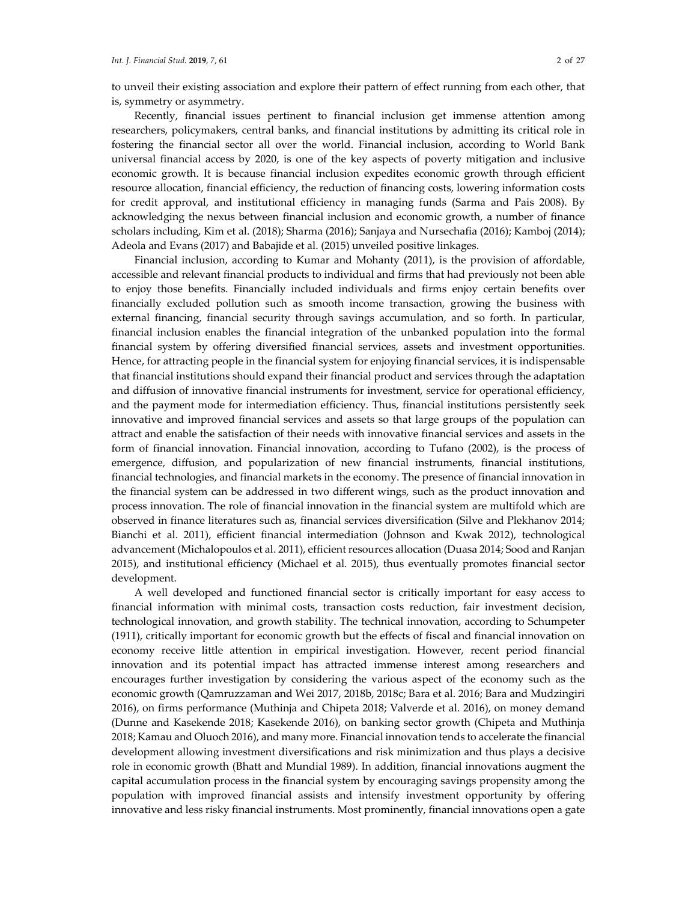to unveil their existing association and explore their pattern of effect running from each other, that is, symmetry or asymmetry.

Recently, financial issues pertinent to financial inclusion get immense attention among researchers, policymakers, central banks, and financial institutions by admitting its critical role in fostering the financial sector all over the world. Financial inclusion, according to World Bank universal financial access by 2020, is one of the key aspects of poverty mitigation and inclusive economic growth. It is because financial inclusion expedites economic growth through efficient resource allocation, financial efficiency, the reduction of financing costs, lowering information costs for credit approval, and institutional efficiency in managing funds (Sarma and Pais 2008). By acknowledging the nexus between financial inclusion and economic growth, a number of finance scholars including, Kim et al. (2018); Sharma (2016); Sanjaya and Nursechafia (2016); Kamboj (2014); Adeola and Evans (2017) and Babajide et al. (2015) unveiled positive linkages.

Financial inclusion, according to Kumar and Mohanty (2011), is the provision of affordable, accessible and relevant financial products to individual and firms that had previously not been able to enjoy those benefits. Financially included individuals and firms enjoy certain benefits over financially excluded pollution such as smooth income transaction, growing the business with external financing, financial security through savings accumulation, and so forth. In particular, financial inclusion enables the financial integration of the unbanked population into the formal financial system by offering diversified financial services, assets and investment opportunities. Hence, for attracting people in the financial system for enjoying financial services, it is indispensable that financial institutions should expand their financial product and services through the adaptation and diffusion of innovative financial instruments for investment, service for operational efficiency, and the payment mode for intermediation efficiency. Thus, financial institutions persistently seek innovative and improved financial services and assets so that large groups of the population can attract and enable the satisfaction of their needs with innovative financial services and assets in the form of financial innovation. Financial innovation, according to Tufano (2002), is the process of emergence, diffusion, and popularization of new financial instruments, financial institutions, financial technologies, and financial markets in the economy. The presence of financial innovation in the financial system can be addressed in two different wings, such as the product innovation and process innovation. The role of financial innovation in the financial system are multifold which are observed in finance literatures such as, financial services diversification (Silve and Plekhanov 2014; Bianchi et al. 2011), efficient financial intermediation (Johnson and Kwak 2012), technological advancement (Michalopoulos et al. 2011), efficient resources allocation (Duasa 2014; Sood and Ranjan 2015), and institutional efficiency (Michael et al. 2015), thus eventually promotes financial sector development.

A well developed and functioned financial sector is critically important for easy access to financial information with minimal costs, transaction costs reduction, fair investment decision, technological innovation, and growth stability. The technical innovation, according to Schumpeter (1911), critically important for economic growth but the effects of fiscal and financial innovation on economy receive little attention in empirical investigation. However, recent period financial innovation and its potential impact has attracted immense interest among researchers and encourages further investigation by considering the various aspect of the economy such as the economic growth (Qamruzzaman and Wei 2017, 2018b, 2018c; Bara et al. 2016; Bara and Mudzingiri 2016), on firms performance (Muthinja and Chipeta 2018; Valverde et al. 2016), on money demand (Dunne and Kasekende 2018; Kasekende 2016), on banking sector growth (Chipeta and Muthinja 2018; Kamau and Oluoch 2016), and many more. Financial innovation tends to accelerate the financial development allowing investment diversifications and risk minimization and thus plays a decisive role in economic growth (Bhatt and Mundial 1989). In addition, financial innovations augment the capital accumulation process in the financial system by encouraging savings propensity among the population with improved financial assists and intensify investment opportunity by offering innovative and less risky financial instruments. Most prominently, financial innovations open a gate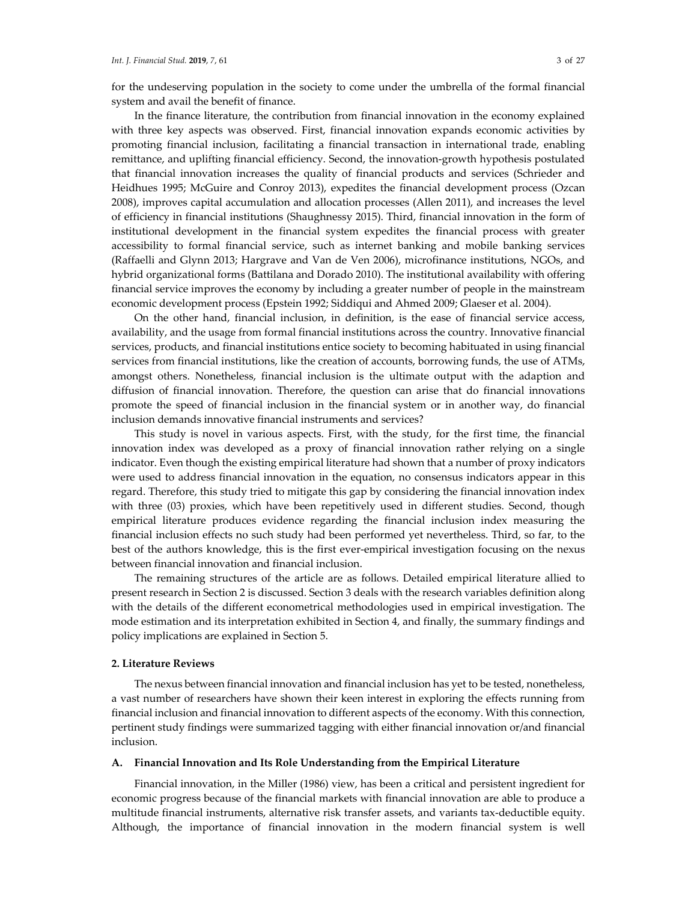for the undeserving population in the society to come under the umbrella of the formal financial system and avail the benefit of finance.

In the finance literature, the contribution from financial innovation in the economy explained with three key aspects was observed. First, financial innovation expands economic activities by promoting financial inclusion, facilitating a financial transaction in international trade, enabling remittance, and uplifting financial efficiency. Second, the innovation-growth hypothesis postulated that financial innovation increases the quality of financial products and services (Schrieder and Heidhues 1995; McGuire and Conroy 2013), expedites the financial development process (Ozcan 2008), improves capital accumulation and allocation processes (Allen 2011), and increases the level of efficiency in financial institutions (Shaughnessy 2015). Third, financial innovation in the form of institutional development in the financial system expedites the financial process with greater accessibility to formal financial service, such as internet banking and mobile banking services (Raffaelli and Glynn 2013; Hargrave and Van de Ven 2006), microfinance institutions, NGOs, and hybrid organizational forms (Battilana and Dorado 2010). The institutional availability with offering financial service improves the economy by including a greater number of people in the mainstream economic development process (Epstein 1992; Siddiqui and Ahmed 2009; Glaeser et al. 2004).

On the other hand, financial inclusion, in definition, is the ease of financial service access, availability, and the usage from formal financial institutions across the country. Innovative financial services, products, and financial institutions entice society to becoming habituated in using financial services from financial institutions, like the creation of accounts, borrowing funds, the use of ATMs, amongst others. Nonetheless, financial inclusion is the ultimate output with the adaption and diffusion of financial innovation. Therefore, the question can arise that do financial innovations promote the speed of financial inclusion in the financial system or in another way, do financial inclusion demands innovative financial instruments and services?

This study is novel in various aspects. First, with the study, for the first time, the financial innovation index was developed as a proxy of financial innovation rather relying on a single indicator. Even though the existing empirical literature had shown that a number of proxy indicators were used to address financial innovation in the equation, no consensus indicators appear in this regard. Therefore, this study tried to mitigate this gap by considering the financial innovation index with three (03) proxies, which have been repetitively used in different studies. Second, though empirical literature produces evidence regarding the financial inclusion index measuring the financial inclusion effects no such study had been performed yet nevertheless. Third, so far, to the best of the authors knowledge, this is the first ever-empirical investigation focusing on the nexus between financial innovation and financial inclusion.

The remaining structures of the article are as follows. Detailed empirical literature allied to present research in Section 2 is discussed. Section 3 deals with the research variables definition along with the details of the different econometrical methodologies used in empirical investigation. The mode estimation and its interpretation exhibited in Section 4, and finally, the summary findings and policy implications are explained in Section 5.

## **2. Literature Reviews**

The nexus between financial innovation and financial inclusion has yet to be tested, nonetheless, a vast number of researchers have shown their keen interest in exploring the effects running from financial inclusion and financial innovation to different aspects of the economy. With this connection, pertinent study findings were summarized tagging with either financial innovation or/and financial inclusion.

#### **A. Financial Innovation and Its Role Understanding from the Empirical Literature**

Financial innovation, in the Miller (1986) view, has been a critical and persistent ingredient for economic progress because of the financial markets with financial innovation are able to produce a multitude financial instruments, alternative risk transfer assets, and variants tax-deductible equity. Although, the importance of financial innovation in the modern financial system is well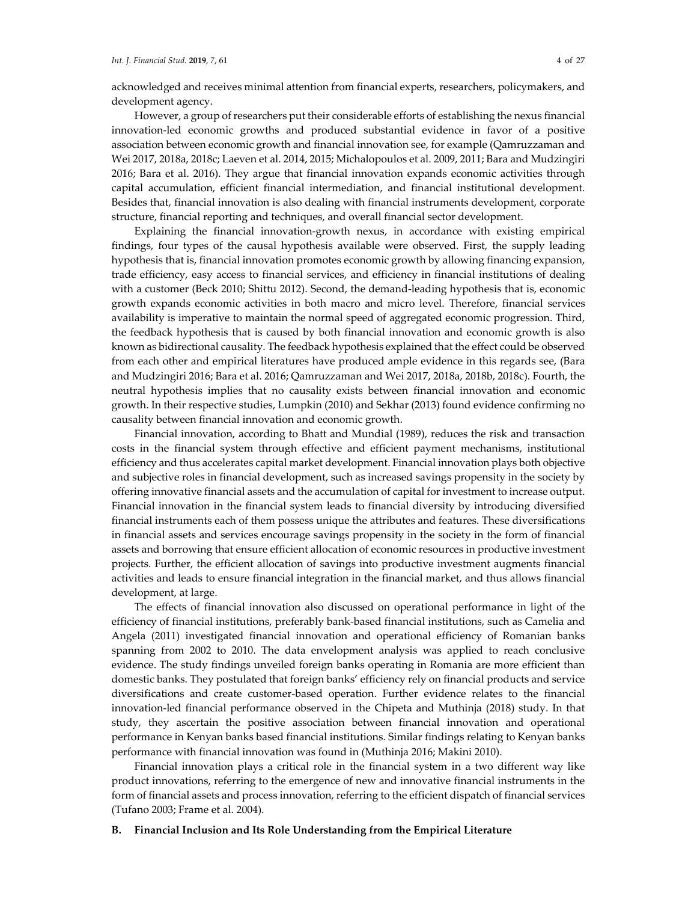acknowledged and receives minimal attention from financial experts, researchers, policymakers, and development agency.

However, a group of researchers put their considerable efforts of establishing the nexus financial innovation-led economic growths and produced substantial evidence in favor of a positive association between economic growth and financial innovation see, for example (Qamruzzaman and Wei 2017, 2018a, 2018c; Laeven et al. 2014, 2015; Michalopoulos et al. 2009, 2011; Bara and Mudzingiri 2016; Bara et al. 2016). They argue that financial innovation expands economic activities through capital accumulation, efficient financial intermediation, and financial institutional development. Besides that, financial innovation is also dealing with financial instruments development, corporate structure, financial reporting and techniques, and overall financial sector development.

Explaining the financial innovation-growth nexus, in accordance with existing empirical findings, four types of the causal hypothesis available were observed. First, the supply leading hypothesis that is, financial innovation promotes economic growth by allowing financing expansion, trade efficiency, easy access to financial services, and efficiency in financial institutions of dealing with a customer (Beck 2010; Shittu 2012). Second, the demand-leading hypothesis that is, economic growth expands economic activities in both macro and micro level. Therefore, financial services availability is imperative to maintain the normal speed of aggregated economic progression. Third, the feedback hypothesis that is caused by both financial innovation and economic growth is also known as bidirectional causality. The feedback hypothesis explained that the effect could be observed from each other and empirical literatures have produced ample evidence in this regards see, (Bara and Mudzingiri 2016; Bara et al. 2016; Qamruzzaman and Wei 2017, 2018a, 2018b, 2018c). Fourth, the neutral hypothesis implies that no causality exists between financial innovation and economic growth. In their respective studies, Lumpkin (2010) and Sekhar (2013) found evidence confirming no causality between financial innovation and economic growth.

Financial innovation, according to Bhatt and Mundial (1989), reduces the risk and transaction costs in the financial system through effective and efficient payment mechanisms, institutional efficiency and thus accelerates capital market development. Financial innovation plays both objective and subjective roles in financial development, such as increased savings propensity in the society by offering innovative financial assets and the accumulation of capital for investment to increase output. Financial innovation in the financial system leads to financial diversity by introducing diversified financial instruments each of them possess unique the attributes and features. These diversifications in financial assets and services encourage savings propensity in the society in the form of financial assets and borrowing that ensure efficient allocation of economic resources in productive investment projects. Further, the efficient allocation of savings into productive investment augments financial activities and leads to ensure financial integration in the financial market, and thus allows financial development, at large.

The effects of financial innovation also discussed on operational performance in light of the efficiency of financial institutions, preferably bank-based financial institutions, such as Camelia and Angela (2011) investigated financial innovation and operational efficiency of Romanian banks spanning from 2002 to 2010. The data envelopment analysis was applied to reach conclusive evidence. The study findings unveiled foreign banks operating in Romania are more efficient than domestic banks. They postulated that foreign banks' efficiency rely on financial products and service diversifications and create customer-based operation. Further evidence relates to the financial innovation-led financial performance observed in the Chipeta and Muthinja (2018) study. In that study, they ascertain the positive association between financial innovation and operational performance in Kenyan banks based financial institutions. Similar findings relating to Kenyan banks performance with financial innovation was found in (Muthinja 2016; Makini 2010).

Financial innovation plays a critical role in the financial system in a two different way like product innovations, referring to the emergence of new and innovative financial instruments in the form of financial assets and process innovation, referring to the efficient dispatch of financial services (Tufano 2003; Frame et al. 2004).

#### **B. Financial Inclusion and Its Role Understanding from the Empirical Literature**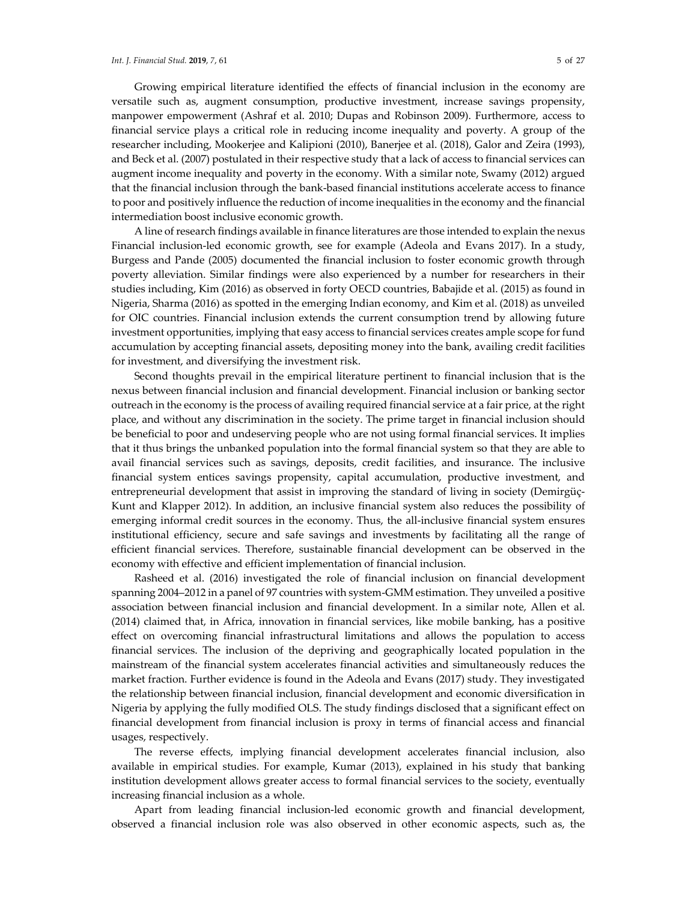Growing empirical literature identified the effects of financial inclusion in the economy are versatile such as, augment consumption, productive investment, increase savings propensity, manpower empowerment (Ashraf et al. 2010; Dupas and Robinson 2009). Furthermore, access to financial service plays a critical role in reducing income inequality and poverty. A group of the researcher including, Mookerjee and Kalipioni (2010), Banerjee et al. (2018), Galor and Zeira (1993), and Beck et al. (2007) postulated in their respective study that a lack of access to financial services can augment income inequality and poverty in the economy. With a similar note, Swamy (2012) argued that the financial inclusion through the bank-based financial institutions accelerate access to finance to poor and positively influence the reduction of income inequalities in the economy and the financial intermediation boost inclusive economic growth.

A line of research findings available in finance literatures are those intended to explain the nexus Financial inclusion-led economic growth, see for example (Adeola and Evans 2017). In a study, Burgess and Pande (2005) documented the financial inclusion to foster economic growth through poverty alleviation. Similar findings were also experienced by a number for researchers in their studies including, Kim (2016) as observed in forty OECD countries, Babajide et al. (2015) as found in Nigeria, Sharma (2016) as spotted in the emerging Indian economy, and Kim et al. (2018) as unveiled for OIC countries. Financial inclusion extends the current consumption trend by allowing future investment opportunities, implying that easy access to financial services creates ample scope for fund accumulation by accepting financial assets, depositing money into the bank, availing credit facilities for investment, and diversifying the investment risk.

Second thoughts prevail in the empirical literature pertinent to financial inclusion that is the nexus between financial inclusion and financial development. Financial inclusion or banking sector outreach in the economy is the process of availing required financial service at a fair price, at the right place, and without any discrimination in the society. The prime target in financial inclusion should be beneficial to poor and undeserving people who are not using formal financial services. It implies that it thus brings the unbanked population into the formal financial system so that they are able to avail financial services such as savings, deposits, credit facilities, and insurance. The inclusive financial system entices savings propensity, capital accumulation, productive investment, and entrepreneurial development that assist in improving the standard of living in society (Demirgüç-Kunt and Klapper 2012). In addition, an inclusive financial system also reduces the possibility of emerging informal credit sources in the economy. Thus, the all-inclusive financial system ensures institutional efficiency, secure and safe savings and investments by facilitating all the range of efficient financial services. Therefore, sustainable financial development can be observed in the economy with effective and efficient implementation of financial inclusion.

Rasheed et al. (2016) investigated the role of financial inclusion on financial development spanning 2004–2012 in a panel of 97 countries with system-GMM estimation. They unveiled a positive association between financial inclusion and financial development. In a similar note, Allen et al. (2014) claimed that, in Africa, innovation in financial services, like mobile banking, has a positive effect on overcoming financial infrastructural limitations and allows the population to access financial services. The inclusion of the depriving and geographically located population in the mainstream of the financial system accelerates financial activities and simultaneously reduces the market fraction. Further evidence is found in the Adeola and Evans (2017) study. They investigated the relationship between financial inclusion, financial development and economic diversification in Nigeria by applying the fully modified OLS. The study findings disclosed that a significant effect on financial development from financial inclusion is proxy in terms of financial access and financial usages, respectively.

The reverse effects, implying financial development accelerates financial inclusion, also available in empirical studies. For example, Kumar (2013), explained in his study that banking institution development allows greater access to formal financial services to the society, eventually increasing financial inclusion as a whole.

Apart from leading financial inclusion-led economic growth and financial development, observed a financial inclusion role was also observed in other economic aspects, such as, the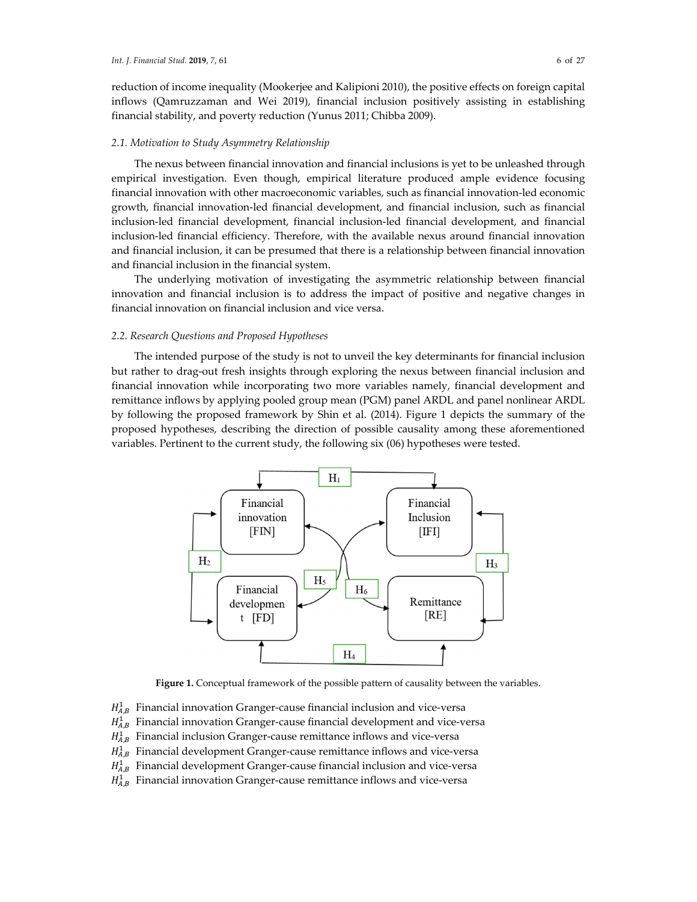## *2.1. Motivation to Study Asymmetry Relationship*

The nexus between financial innovation and financial inclusions is yet to be unleashed through empirical investigation. Even though, empirical literature produced ample evidence focusing financial innovation with other macroeconomic variables, such as financial innovation-led economic growth, financial innovation-led financial development, and financial inclusion, such as financial inclusion-led financial development, financial inclusion-led financial development, and financial inclusion-led financial efficiency. Therefore, with the available nexus around financial innovation and financial inclusion, it can be presumed that there is a relationship between financial innovation and financial inclusion in the financial system.

The underlying motivation of investigating the asymmetric relationship between financial innovation and financial inclusion is to address the impact of positive and negative changes in financial innovation on financial inclusion and vice versa.

#### *2.2. Research Questions and Proposed Hypotheses*

The intended purpose of the study is not to unveil the key determinants for financial inclusion but rather to drag-out fresh insights through exploring the nexus between financial inclusion and financial innovation while incorporating two more variables namely, financial development and remittance inflows by applying pooled group mean (PGM) panel ARDL and panel nonlinear ARDL by following the proposed framework by Shin et al. (2014). Figure 1 depicts the summary of the proposed hypotheses, describing the direction of possible causality among these aforementioned variables. Pertinent to the current study, the following six (06) hypotheses were tested.



**Figure 1.** Conceptual framework of the possible pattern of causality between the variables.

 $H_{A,B}^1$  Financial innovation Granger-cause financial inclusion and vice-versa

 $H_{A,B}^1$  Financial innovation Granger-cause financial development and vice-versa

 $H_{A,B}^1$  Financial inclusion Granger-cause remittance inflows and vice-versa

 $H_{A,B}^1$  Financial development Granger-cause remittance inflows and vice-versa

 $H_{A,B}^1$  Financial development Granger-cause financial inclusion and vice-versa

 $H_{A,B}^1$  Financial innovation Granger-cause remittance inflows and vice-versa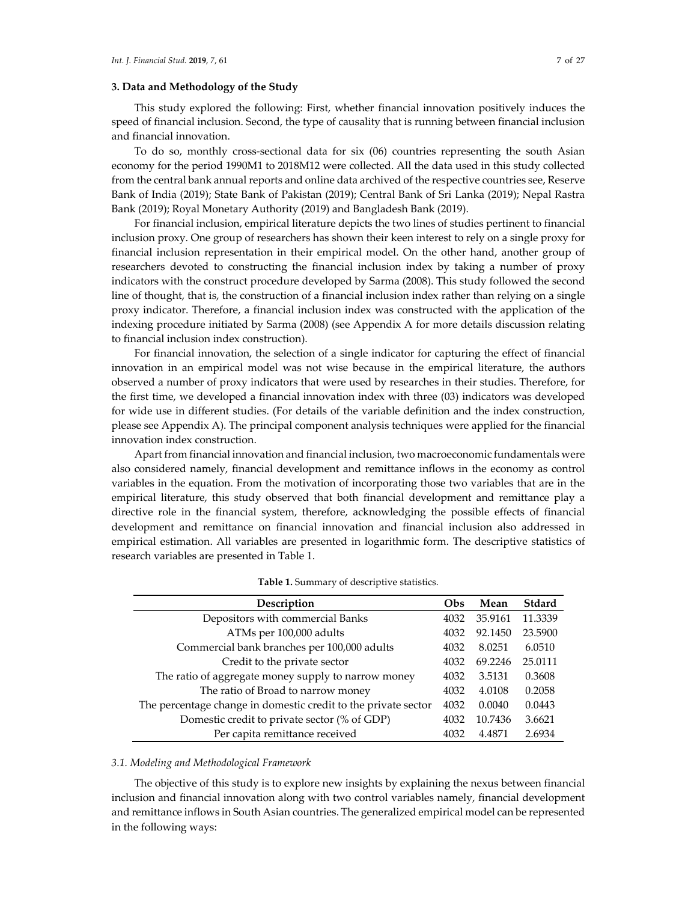## **3. Data and Methodology of the Study**

This study explored the following: First, whether financial innovation positively induces the speed of financial inclusion. Second, the type of causality that is running between financial inclusion and financial innovation.

To do so, monthly cross-sectional data for six (06) countries representing the south Asian economy for the period 1990M1 to 2018M12 were collected. All the data used in this study collected from the central bank annual reports and online data archived of the respective countries see, Reserve Bank of India (2019); State Bank of Pakistan (2019); Central Bank of Sri Lanka (2019); Nepal Rastra Bank (2019); Royal Monetary Authority (2019) and Bangladesh Bank (2019).

For financial inclusion, empirical literature depicts the two lines of studies pertinent to financial inclusion proxy. One group of researchers has shown their keen interest to rely on a single proxy for financial inclusion representation in their empirical model. On the other hand, another group of researchers devoted to constructing the financial inclusion index by taking a number of proxy indicators with the construct procedure developed by Sarma (2008). This study followed the second line of thought, that is, the construction of a financial inclusion index rather than relying on a single proxy indicator. Therefore, a financial inclusion index was constructed with the application of the indexing procedure initiated by Sarma (2008) (see Appendix A for more details discussion relating to financial inclusion index construction).

For financial innovation, the selection of a single indicator for capturing the effect of financial innovation in an empirical model was not wise because in the empirical literature, the authors observed a number of proxy indicators that were used by researches in their studies. Therefore, for the first time, we developed a financial innovation index with three (03) indicators was developed for wide use in different studies. (For details of the variable definition and the index construction, please see Appendix A). The principal component analysis techniques were applied for the financial innovation index construction.

Apart from financial innovation and financial inclusion, two macroeconomic fundamentals were also considered namely, financial development and remittance inflows in the economy as control variables in the equation. From the motivation of incorporating those two variables that are in the empirical literature, this study observed that both financial development and remittance play a directive role in the financial system, therefore, acknowledging the possible effects of financial development and remittance on financial innovation and financial inclusion also addressed in empirical estimation. All variables are presented in logarithmic form. The descriptive statistics of research variables are presented in Table 1.

| Description                                                    | Obs  | Mean    | Stdard  |
|----------------------------------------------------------------|------|---------|---------|
| Depositors with commercial Banks                               | 4032 | 35.9161 | 11.3339 |
| ATMs per 100,000 adults                                        | 4032 | 92.1450 | 23.5900 |
| Commercial bank branches per 100,000 adults                    | 4032 | 8.0251  | 6.0510  |
| Credit to the private sector                                   | 4032 | 69.2246 | 25.0111 |
| The ratio of aggregate money supply to narrow money            | 4032 | 3.5131  | 0.3608  |
| The ratio of Broad to narrow money                             | 4032 | 4.0108  | 0.2058  |
| The percentage change in domestic credit to the private sector | 4032 | 0.0040  | 0.0443  |
| Domestic credit to private sector (% of GDP)                   | 4032 | 10.7436 | 3.6621  |
| Per capita remittance received                                 | 4032 | 4.4871  | 2.6934  |

| Table 1. Summary of descriptive statistics. |  |  |  |  |
|---------------------------------------------|--|--|--|--|
|---------------------------------------------|--|--|--|--|

#### *3.1. Modeling and Methodological Framework*

The objective of this study is to explore new insights by explaining the nexus between financial inclusion and financial innovation along with two control variables namely, financial development and remittance inflows in South Asian countries. The generalized empirical model can be represented in the following ways: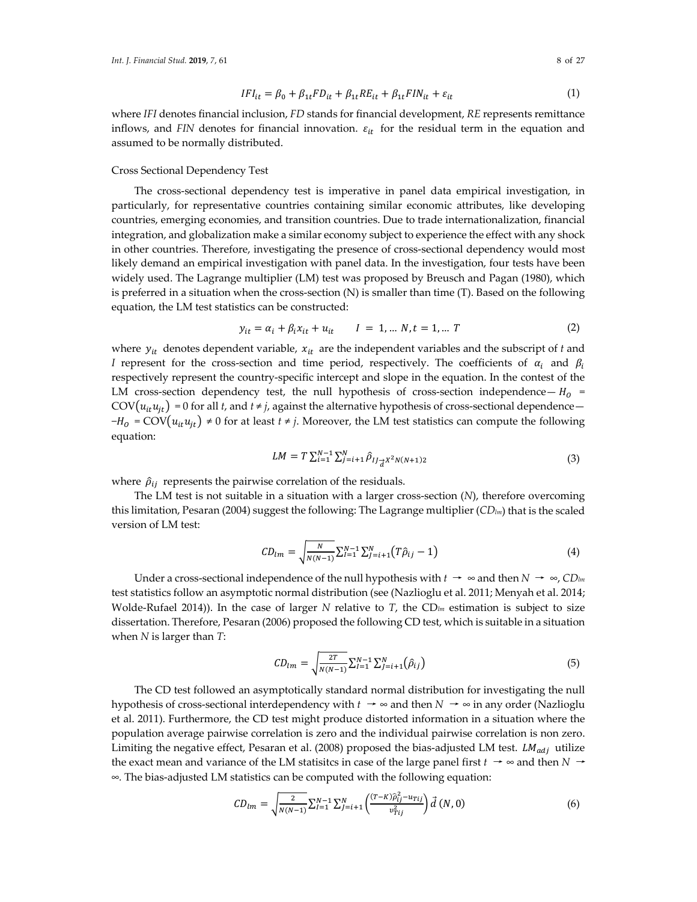$$
IFI_{it} = \beta_0 + \beta_{1t} FD_{it} + \beta_{1t} RE_{it} + \beta_{1t} FIN_{it} + \varepsilon_{it}
$$
\n
$$
\tag{1}
$$

where *IFI* denotes financial inclusion, *FD* stands for financial development, *RE* represents remittance inflows, and *FIN* denotes for financial innovation.  $\varepsilon_{it}$  for the residual term in the equation and assumed to be normally distributed.

#### Cross Sectional Dependency Test

The cross-sectional dependency test is imperative in panel data empirical investigation, in particularly, for representative countries containing similar economic attributes, like developing countries, emerging economies, and transition countries. Due to trade internationalization, financial integration, and globalization make a similar economy subject to experience the effect with any shock in other countries. Therefore, investigating the presence of cross-sectional dependency would most likely demand an empirical investigation with panel data. In the investigation, four tests have been widely used. The Lagrange multiplier (LM) test was proposed by Breusch and Pagan (1980), which is preferred in a situation when the cross-section (N) is smaller than time (T). Based on the following equation, the LM test statistics can be constructed:

$$
y_{it} = \alpha_i + \beta_i x_{it} + u_{it} \qquad I = 1, \dots N, t = 1, \dots T
$$
 (2)

where  $y_{it}$  denotes dependent variable,  $x_{it}$  are the independent variables and the subscript of  $t$  and *I* represent for the cross-section and time period, respectively. The coefficients of  $\alpha_i$  and  $\beta_i$ respectively represent the country-specific intercept and slope in the equation. In the contest of the LM cross-section dependency test, the null hypothesis of cross-section independence—  $H_0$  = COV $(u_{it}u_{jt})$  = 0 for all *t*, and *t* ≠ *j*, against the alternative hypothesis of cross-sectional dependence—  $-H_0 = \text{COV}(u_{it}u_{jt}) \neq 0$  for at least  $t \neq j$ . Moreover, the LM test statistics can compute the following equation:

$$
LM = T \sum_{i=1}^{N-1} \sum_{j=i+1}^{N} \hat{\rho}_{IJ_{\overrightarrow{d}}X^2N(N+1)2}
$$
 (3)

where  $\hat{\rho}_{ij}$  represents the pairwise correlation of the residuals.

The LM test is not suitable in a situation with a larger cross-section (*N*), therefore overcoming this limitation, Pesaran (2004) suggest the following: The Lagrange multiplier (*CDlm*) that is the scaled version of LM test:

$$
CD_{lm} = \sqrt{\frac{N}{N(N-1)}} \sum_{l=1}^{N-1} \sum_{j=i+1}^{N} (T\hat{\rho}_{ij} - 1)
$$
 (4)

Under a cross-sectional independence of the null hypothesis with  $t \rightarrow \infty$  and then  $N \rightarrow \infty$ , *CD*<sub>lm</sub> test statistics follow an asymptotic normal distribution (see (Nazlioglu et al. 2011; Menyah et al. 2014; Wolde-Rufael 2014)). In the case of larger *N* relative to *T*, the CD<sub>*lm*</sub> estimation is subject to size dissertation. Therefore, Pesaran (2006) proposed the following CD test, which is suitable in a situation when *N* is larger than *T*:

$$
CD_{lm} = \sqrt{\frac{2T}{N(N-1)}} \sum_{i=1}^{N-1} \sum_{j=i+1}^{N} (\hat{\rho}_{ij})
$$
\n(5)

The CD test followed an asymptotically standard normal distribution for investigating the null hypothesis of cross-sectional interdependency with  $t \rightarrow \infty$  and then  $N \rightarrow \infty$  in any order (Nazlioglu et al. 2011). Furthermore, the CD test might produce distorted information in a situation where the population average pairwise correlation is zero and the individual pairwise correlation is non zero. Limiting the negative effect, Pesaran et al. (2008) proposed the bias-adjusted LM test.  $LM_{adi}$  utilize the exact mean and variance of the LM statisites in case of the large panel first  $t \rightarrow \infty$  and then  $N \rightarrow \infty$ *∞.* The bias-adjusted LM statistics can be computed with the following equation:

$$
CD_{lm} = \sqrt{\frac{2}{N(N-1)}} \sum_{l=1}^{N-1} \sum_{j=i+1}^{N} \left( \frac{(T-K)\hat{\rho}_{ij}^2 - u_{Tij}}{v_{Tij}^2} \right) \vec{d}(N,0) \tag{6}
$$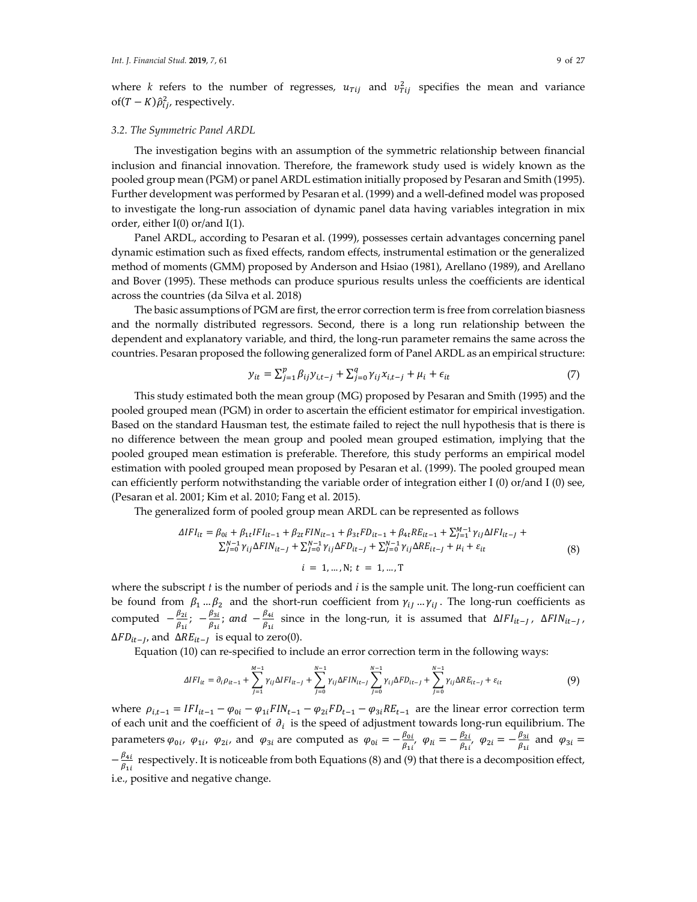where *k* refers to the number of regresses,  $u_{\text{rij}}$  and  $v_{\text{rij}}^2$  specifies the mean and variance of(T – K) $\hat{\rho}_{ij}^2$ , respectively.

#### *3.2. The Symmetric Panel ARDL*

The investigation begins with an assumption of the symmetric relationship between financial inclusion and financial innovation. Therefore, the framework study used is widely known as the pooled group mean (PGM) or panel ARDL estimation initially proposed by Pesaran and Smith (1995). Further development was performed by Pesaran et al. (1999) and a well-defined model was proposed to investigate the long-run association of dynamic panel data having variables integration in mix order, either I(0) or/and I(1).

Panel ARDL, according to Pesaran et al. (1999), possesses certain advantages concerning panel dynamic estimation such as fixed effects, random effects, instrumental estimation or the generalized method of moments (GMM) proposed by Anderson and Hsiao (1981), Arellano (1989), and Arellano and Bover (1995). These methods can produce spurious results unless the coefficients are identical across the countries (da Silva et al. 2018)

The basic assumptions of PGM are first, the error correction term is free from correlation biasness and the normally distributed regressors. Second, there is a long run relationship between the dependent and explanatory variable, and third, the long-run parameter remains the same across the countries. Pesaran proposed the following generalized form of Panel ARDL as an empirical structure:

$$
y_{it} = \sum_{j=1}^{p} \beta_{ij} y_{i,t-j} + \sum_{j=0}^{q} \gamma_{ij} x_{i,t-j} + \mu_i + \epsilon_{it}
$$
 (7)

This study estimated both the mean group (MG) proposed by Pesaran and Smith (1995) and the pooled grouped mean (PGM) in order to ascertain the efficient estimator for empirical investigation. Based on the standard Hausman test, the estimate failed to reject the null hypothesis that is there is no difference between the mean group and pooled mean grouped estimation, implying that the pooled grouped mean estimation is preferable. Therefore, this study performs an empirical model estimation with pooled grouped mean proposed by Pesaran et al. (1999). The pooled grouped mean can efficiently perform notwithstanding the variable order of integration either I (0) or/and I (0) see, (Pesaran et al. 2001; Kim et al. 2010; Fang et al. 2015).

The generalized form of pooled group mean ARDL can be represented as follows

$$
\Delta IFI_{it} = \beta_{0i} + \beta_{1t} IFI_{it-1} + \beta_{2t} FIN_{it-1} + \beta_{3t} FD_{it-1} + \beta_{4t} RE_{it-1} + \sum_{j=1}^{M-1} \gamma_{ij} \Delta IFI_{it-j} + \sum_{j=0}^{N-1} \gamma_{ij} \Delta FIN_{it-j} + \sum_{j=0}^{N-1} \gamma_{ij} \Delta FD_{it-j} + \sum_{j=0}^{N-1} \gamma_{ij} \Delta RE_{it-j} + \mu_{i} + \varepsilon_{it}
$$
\n
$$
i = 1, ..., N; t = 1, ..., T
$$
\n(8)

where the subscript *t* is the number of periods and *i* is the sample unit. The long-run coefficient can be found from  $\beta_1...\beta_2$  and the short-run coefficient from  $\gamma_{i,j}...\gamma_{i,j}$ . The long-run coefficients as computed  $-\frac{\beta_{2i}}{\beta_{1i}}$ ;  $-\frac{\beta_{3i}}{\beta_{1i}}$ ; and  $-\frac{\beta_{4i}}{\beta_{1i}}$  since in the long-run, it is assumed that  $\Delta IFI_{it-j}$ ,  $\Delta FIN_{it-j}$ ,  $\Delta FD_{it-1}$ , and  $\Delta RE_{it-1}$  is equal to zero(0).

Equation (10) can re-specified to include an error correction term in the following ways:

$$
\Delta IFI_{it} = \partial_i \rho_{it-1} + \sum_{j=1}^{M-1} \gamma_{ij} \Delta IFI_{it-j} + \sum_{j=0}^{N-1} \gamma_{ij} \Delta FIN_{it-j} \sum_{j=0}^{N-1} \gamma_{ij} \Delta FD_{it-j} + \sum_{j=0}^{N-1} \gamma_{ij} \Delta RE_{it-j} + \varepsilon_{it}
$$
(9)

where  $\rho_{i,t-1} = IFI_{it-1} - \varphi_{0i} - \varphi_{1i}FIN_{t-1} - \varphi_{2i}FD_{t-1} - \varphi_{3i}RE_{t-1}$  are the linear error correction term of each unit and the coefficient of  $\partial_i$  is the speed of adjustment towards long-run equilibrium. The parameters  $\varphi_{0i}$ ,  $\varphi_{1i}$ ,  $\varphi_{2i}$ , and  $\varphi_{3i}$  are computed as  $\varphi_{0i} = -\frac{\beta_{0i}}{\beta_{1i}}$ ,  $\varphi_{1i} = -\frac{\beta_{2i}}{\beta_{1i}}$ ,  $\varphi_{2i} = -\frac{\beta_{3i}}{\beta_{1i}}$  and  $\varphi_{3i} =$  $-\frac{\beta_{4i}}{\beta_{1i}}$  respectively. It is noticeable from both Equations (8) and (9) that there is a decomposition effect, i.e., positive and negative change.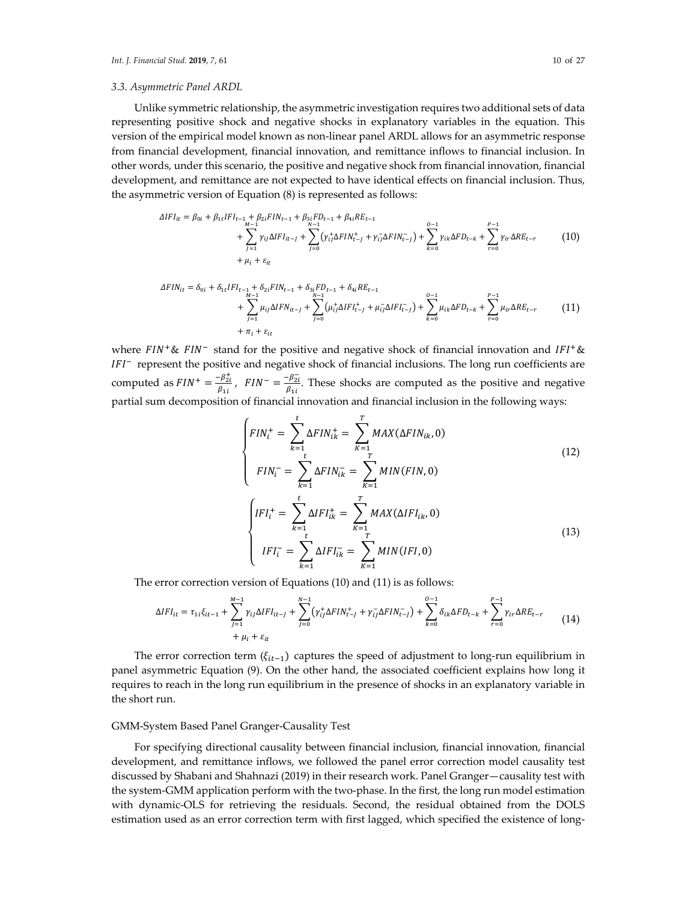#### *3.3. Asymmetric Panel ARDL*

Unlike symmetric relationship, the asymmetric investigation requires two additional sets of data representing positive shock and negative shocks in explanatory variables in the equation. This version of the empirical model known as non-linear panel ARDL allows for an asymmetric response from financial development, financial innovation, and remittance inflows to financial inclusion. In other words, under this scenario, the positive and negative shock from financial innovation, financial development, and remittance are not expected to have identical effects on financial inclusion. Thus, the asymmetric version of Equation (8) is represented as follows:

$$
\Delta IFI_{it} = \beta_{0i} + \beta_{1t} IFI_{t-1} + \beta_{2i} FIN_{t-1} + \beta_{3i} FD_{t-1} + \beta_{4i} RE_{t-1} + \sum_{N-1}^{N-1} (\gamma_{ij}^+ \Delta FIN_{t-1}^+) + \sum_{k=0}^{O-1} \gamma_{ik} \Delta FD_{t-k} + \sum_{r=0}^{P-1} \gamma_{ir} \Delta RE_{t-r}
$$
\n
$$
+ \mu_i + \varepsilon_{it}
$$
\n(10)

$$
\Delta FIN_{it} = \delta_{0i} + \delta_{1t} IFI_{t-1} + \delta_{2i} FIN_{t-1} + \delta_{3i} FD_{t-1} + \delta_{4i} RE_{t-1} + \sum_{N-1}^{N-1} (\mu_{ij} \Delta IFN_{it-j} + \sum_{j=0}^{N-1} (\mu_{ij}^+ \Delta IFI_{t-j}^+) + \mu_{ij}^- \Delta IFI_{t-j}^-) + \sum_{k=0}^{O-1} \mu_{ik} \Delta FD_{t-k} + \sum_{r=0}^{P-1} \mu_{ir} \Delta RE_{t-r}
$$
(11)

where  $FIN^+$ &  $FIN^-$  stand for the positive and negative shock of financial innovation and  $IFI^+\&$  $IFI^-$  represent the positive and negative shock of financial inclusions. The long run coefficients are computed as  $FIN^+ = \frac{-\beta_{2i}^+}{\rho}$  $\frac{-\beta_{2i}^+}{\beta_{1i}}$ ,  $FIN^{-} = \frac{-\beta_{2i}^-}{\beta_{1i}}$  $\frac{\mu_{2l}}{\beta_{1l}}$ . These shocks are computed as the positive and negative partial sum decomposition of financial innovation and financial inclusion in the following ways:

$$
\begin{cases}\nFIN_{i}^{+} = \sum_{k=1}^{t} \Delta FIN_{ik}^{+} = \sum_{K=1}^{T} MAX(\Delta FIN_{ik}, 0) \\
FIN_{i}^{-} = \sum_{k=1}^{t} \Delta FIN_{ik}^{-} = \sum_{K=1}^{T} MIN(FIN, 0) \\
\int IFI_{i}^{+} = \sum_{k=1}^{t} \Delta IFI_{ik}^{+} = \sum_{K=1}^{T} MAX(\Delta IFI_{ik}, 0) \\
IFI_{i}^{-} = \sum_{k=1}^{t} \Delta IFI_{ik}^{-} = \sum_{K=1}^{T} MIN(FI, 0)\n\end{cases}
$$
\n(13)

The error correction version of Equations (10) and (11) is as follows:

$$
\Delta IFI_{it} = \tau_{1i}\xi_{it-1} + \sum_{J=1}^{M-1} \gamma_{ij}\Delta IFI_{it-J} + \sum_{J=0}^{N-1} (\gamma_{ij}^{+}\Delta FIN_{t-J}^{+} + \gamma_{ij}^{-}\Delta FIN_{t-J}) + \sum_{k=0}^{O-1} \delta_{ik}\Delta FD_{t-k} + \sum_{r=0}^{P-1} \gamma_{ir}\Delta RE_{t-r}
$$
(14)

The error correction term ( $\xi_{it-1}$ ) captures the speed of adjustment to long-run equilibrium in panel asymmetric Equation (9). On the other hand, the associated coefficient explains how long it requires to reach in the long run equilibrium in the presence of shocks in an explanatory variable in the short run.

#### GMM-System Based Panel Granger-Causality Test

For specifying directional causality between financial inclusion, financial innovation, financial development, and remittance inflows, we followed the panel error correction model causality test discussed by Shabani and Shahnazi (2019) in their research work. Panel Granger—causality test with the system-GMM application perform with the two-phase. In the first, the long run model estimation with dynamic-OLS for retrieving the residuals. Second, the residual obtained from the DOLS estimation used as an error correction term with first lagged, which specified the existence of long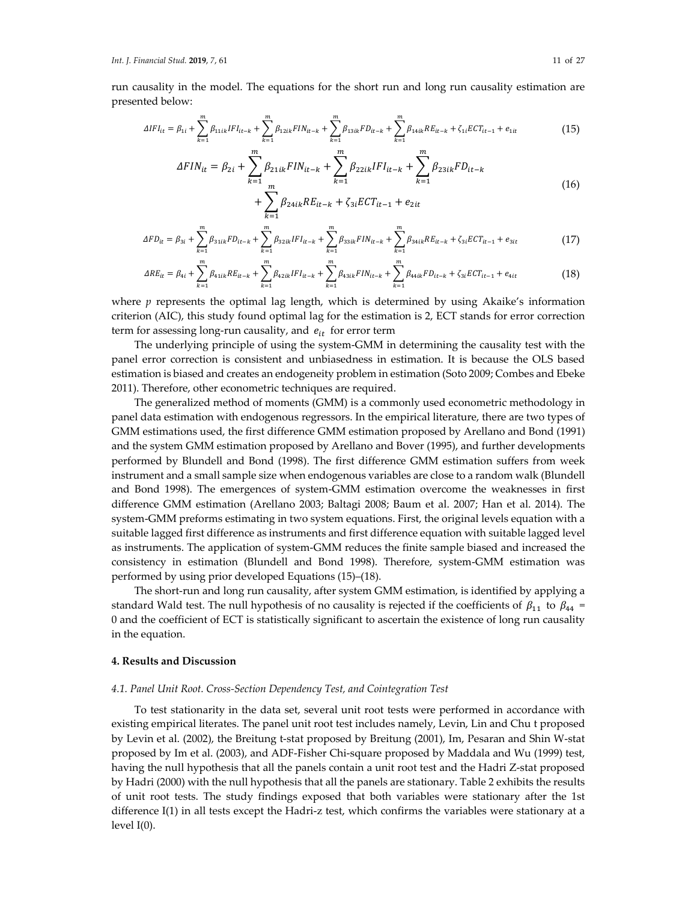run causality in the model. The equations for the short run and long run causality estimation are presented below:

$$
\Delta IFI_{it} = \beta_{1i} + \sum_{k=1}^{m} \beta_{11ik} IFI_{it-k} + \sum_{k=1}^{m} \beta_{12ik} FIN_{it-k} + \sum_{k=1}^{m} \beta_{13ik} FD_{it-k} + \sum_{k=1}^{m} \beta_{14ik} RE_{it-k} + \zeta_{1i} ECT_{it-1} + e_{1it}
$$
(15)

$$
\Delta FIN_{it} = \beta_{2i} + \sum_{k=1}^{m} \beta_{21ik} FIN_{it-k} + \sum_{k=1}^{m} \beta_{22ik} IFI_{it-k} + \sum_{k=1}^{m} \beta_{23ik} FD_{it-k} + \sum_{k=1}^{m} \beta_{24ik} RF_{it-k} + \zeta_{3i} ECT_{it-1} + e_{2it}
$$
\n(16)

$$
\Delta FD_{it} = \beta_{3i} + \sum_{k=1}^{m} \beta_{31ik} FD_{it-k} + \sum_{k=1}^{m} \beta_{32ik} IFI_{it-k} + \sum_{k=1}^{m} \beta_{33ik} FIN_{it-k} + \sum_{k=1}^{m} \beta_{34ik} RE_{it-k} + \zeta_{3i} ECT_{it-1} + e_{3it}
$$
(17)

$$
\Delta RE_{it} = \beta_{4i} + \sum_{k=1}^{m} \beta_{41ik} RE_{it-k} + \sum_{k=1}^{m} \beta_{42ik} IFI_{it-k} + \sum_{k=1}^{m} \beta_{43ik} FIN_{it-k} + \sum_{k=1}^{m} \beta_{44ik} FD_{it-k} + \zeta_{3i} ECT_{it-1} + e_{4it}
$$
(18)

where *p* represents the optimal lag length, which is determined by using Akaike's information criterion (AIC), this study found optimal lag for the estimation is 2, ECT stands for error correction term for assessing long-run causality, and  $e_{it}$  for error term

The underlying principle of using the system-GMM in determining the causality test with the panel error correction is consistent and unbiasedness in estimation. It is because the OLS based estimation is biased and creates an endogeneity problem in estimation (Soto 2009; Combes and Ebeke 2011). Therefore, other econometric techniques are required.

The generalized method of moments (GMM) is a commonly used econometric methodology in panel data estimation with endogenous regressors. In the empirical literature, there are two types of GMM estimations used, the first difference GMM estimation proposed by Arellano and Bond (1991) and the system GMM estimation proposed by Arellano and Bover (1995), and further developments performed by Blundell and Bond (1998). The first difference GMM estimation suffers from week instrument and a small sample size when endogenous variables are close to a random walk (Blundell and Bond 1998). The emergences of system-GMM estimation overcome the weaknesses in first difference GMM estimation (Arellano 2003; Baltagi 2008; Baum et al. 2007; Han et al. 2014). The system-GMM preforms estimating in two system equations. First, the original levels equation with a suitable lagged first difference as instruments and first difference equation with suitable lagged level as instruments. The application of system-GMM reduces the finite sample biased and increased the consistency in estimation (Blundell and Bond 1998). Therefore, system-GMM estimation was performed by using prior developed Equations (15)–(18).

The short-run and long run causality, after system GMM estimation, is identified by applying a standard Wald test. The null hypothesis of no causality is rejected if the coefficients of  $\beta_{11}$  to  $\beta_{44}$  = 0 and the coefficient of ECT is statistically significant to ascertain the existence of long run causality in the equation.

#### **4. Results and Discussion**

## *4.1. Panel Unit Root. Cross-Section Dependency Test, and Cointegration Test*

To test stationarity in the data set, several unit root tests were performed in accordance with existing empirical literates. The panel unit root test includes namely, Levin, Lin and Chu t proposed by Levin et al. (2002), the Breitung t-stat proposed by Breitung (2001), Im, Pesaran and Shin W-stat proposed by Im et al. (2003), and ADF-Fisher Chi-square proposed by Maddala and Wu (1999) test, having the null hypothesis that all the panels contain a unit root test and the Hadri Z-stat proposed by Hadri (2000) with the null hypothesis that all the panels are stationary. Table 2 exhibits the results of unit root tests. The study findings exposed that both variables were stationary after the 1st difference I(1) in all tests except the Hadri-z test, which confirms the variables were stationary at a level  $I(0)$ .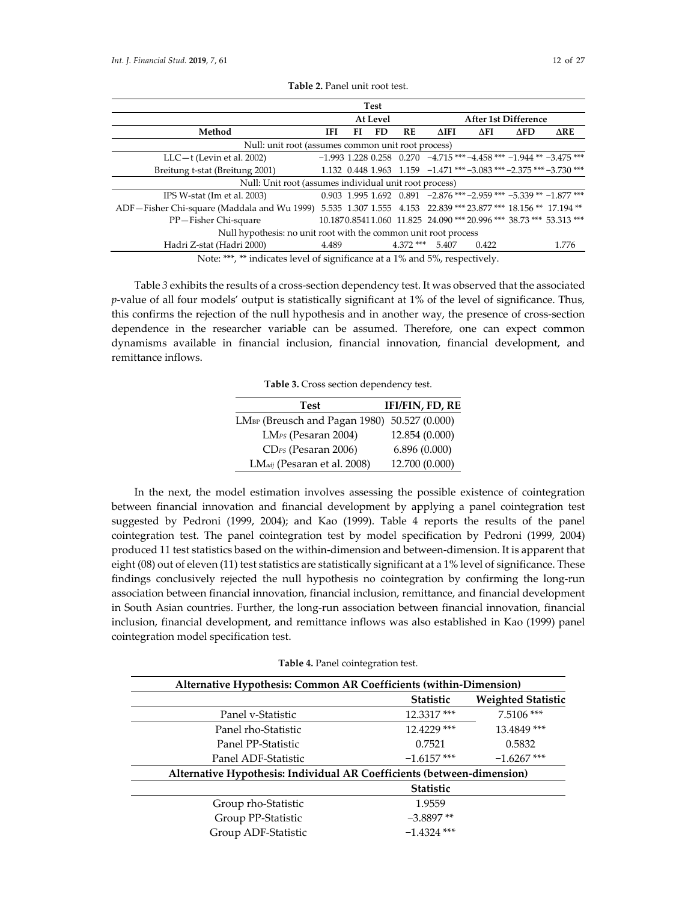| <b>Test</b>                                                                                                                  |                                                    |    |          |             |             |                                                                               |             |       |
|------------------------------------------------------------------------------------------------------------------------------|----------------------------------------------------|----|----------|-------------|-------------|-------------------------------------------------------------------------------|-------------|-------|
|                                                                                                                              |                                                    |    | At Level |             |             | <b>After 1st Difference</b>                                                   |             |       |
| Method                                                                                                                       | IFI                                                | FI | FD       | RE          | <b>AIFI</b> | AFI                                                                           | $\Delta$ FD | ΔRE   |
|                                                                                                                              | Null: unit root (assumes common unit root process) |    |          |             |             |                                                                               |             |       |
| $LLC-t$ (Levin et al. 2002)                                                                                                  |                                                    |    |          |             |             | $-1.993$ 1.228 0.258 0.270 $-4.715$ *** $-4.458$ *** $-1.944$ ** $-3.475$ *** |             |       |
| Breitung t-stat (Breitung 2001)                                                                                              |                                                    |    |          |             |             | 1.132 0.448 1.963 1.159 $-1.471$ *** $-3.083$ *** $-2.375$ *** $-3.730$ ***   |             |       |
| Null: Unit root (assumes individual unit root process)                                                                       |                                                    |    |          |             |             |                                                                               |             |       |
| IPS W-stat (Im et al. 2003)                                                                                                  |                                                    |    |          |             |             | $0.903$ 1.995 1.692 $0.891$ -2.876 *** -2.959 *** -5.339 ** -1.877 ***        |             |       |
| ADF-Fisher Chi-square (Maddala and Wu 1999) 5.535 1.307 1.555 4.153 22.839 *** 23.877 *** 18.156 ** 17.194 **                |                                                    |    |          |             |             |                                                                               |             |       |
| PP-Fisher Chi-square                                                                                                         |                                                    |    |          |             |             | 10.1870.85411.060 11.825 24.090 *** 20.996 *** 38.73 *** 53.313 ***           |             |       |
| Null hypothesis: no unit root with the common unit root process                                                              |                                                    |    |          |             |             |                                                                               |             |       |
| Hadri Z-stat (Hadri 2000)                                                                                                    | 4.489                                              |    |          | $4.372$ *** | 5.407       | 0.422                                                                         |             | 1.776 |
| $\mathbf{A}^T$ , we we have the contract of $\mathbf{A}$ and $\mathbf{A}$ and $\mathbf{A}$ and $\mathbf{A}$ and $\mathbf{A}$ |                                                    |    |          |             |             |                                                                               |             |       |

**Table 2.** Panel unit root test.

Note: \*\*\*, \*\* indicates level of significance at a 1% and 5%, respectively.

Table *3* exhibits the results of a cross-section dependency test. It was observed that the associated *p*-value of all four models' output is statistically significant at 1% of the level of significance. Thus, this confirms the rejection of the null hypothesis and in another way, the presence of cross-section dependence in the researcher variable can be assumed. Therefore, one can expect common dynamisms available in financial inclusion, financial innovation, financial development, and remittance inflows.

**Table 3.** Cross section dependency test.

| <b>Test</b>                                              | <b>IFI/FIN, FD, RE</b> |
|----------------------------------------------------------|------------------------|
| LM <sub>BP</sub> (Breusch and Pagan 1980) 50.527 (0.000) |                        |
| LM <sub>PS</sub> (Pesaran 2004)                          | 12.854 (0.000)         |
| CD <sub>PS</sub> (Pesaran 2006)                          | 6.896(0.000)           |
| LM <sub>adj</sub> (Pesaran et al. 2008)                  | 12.700 (0.000)         |

In the next, the model estimation involves assessing the possible existence of cointegration between financial innovation and financial development by applying a panel cointegration test suggested by Pedroni (1999, 2004); and Kao (1999). Table 4 reports the results of the panel cointegration test. The panel cointegration test by model specification by Pedroni (1999, 2004) produced 11 test statistics based on the within-dimension and between-dimension. It is apparent that eight (08) out of eleven (11) test statistics are statistically significant at a 1% level of significance. These findings conclusively rejected the null hypothesis no cointegration by confirming the long-run association between financial innovation, financial inclusion, remittance, and financial development in South Asian countries. Further, the long-run association between financial innovation, financial inclusion, financial development, and remittance inflows was also established in Kao (1999) panel cointegration model specification test.

**Table 4.** Panel cointegration test.

| <b>Alternative Hypothesis: Common AR Coefficients (within-Dimension)</b> |                  |                           |  |  |  |
|--------------------------------------------------------------------------|------------------|---------------------------|--|--|--|
|                                                                          | <b>Statistic</b> | <b>Weighted Statistic</b> |  |  |  |
| Panel v-Statistic                                                        | 12.3317***       | $7.5106$ ***              |  |  |  |
| Panel rho-Statistic                                                      | 12.4229 ***      | 13.4849***                |  |  |  |
| Panel PP-Statistic                                                       | 0.7521           | 0.5832                    |  |  |  |
| Panel ADF-Statistic                                                      | $-1.6157$ ***    | $-1.6267$ ***             |  |  |  |
| Alternative Hypothesis: Individual AR Coefficients (between-dimension)   |                  |                           |  |  |  |
|                                                                          | <b>Statistic</b> |                           |  |  |  |
| Group rho-Statistic                                                      | 1.9559           |                           |  |  |  |
| Group PP-Statistic                                                       | $-3.8897**$      |                           |  |  |  |
| Group ADF-Statistic                                                      | $-1.4324$ ***    |                           |  |  |  |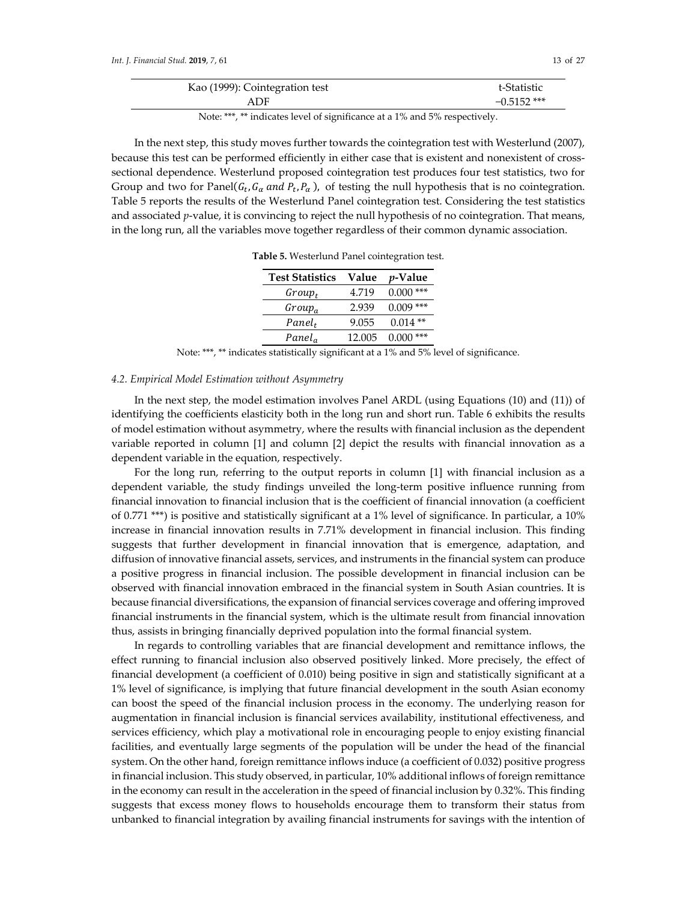| Kao (1999): Cointegration test | t-Statistic   |
|--------------------------------|---------------|
| ADF                            | $-0.5152$ *** |

Note: \*\*\*, \*\* indicates level of significance at a 1% and 5% respectively.

In the next step, this study moves further towards the cointegration test with Westerlund (2007), because this test can be performed efficiently in either case that is existent and nonexistent of crosssectional dependence. Westerlund proposed cointegration test produces four test statistics, two for Group and two for Panel( $G_t$ ,  $G_\alpha$  and  $P_t$ ,  $P_\alpha$ ), of testing the null hypothesis that is no cointegration. Table 5 reports the results of the Westerlund Panel cointegration test. Considering the test statistics and associated *p*-value, it is convincing to reject the null hypothesis of no cointegration. That means, in the long run, all the variables move together regardless of their common dynamic association.

**Table 5.** Westerlund Panel cointegration test.

| <b>Test Statistics</b> | Value  | <i>p</i> -Value |
|------------------------|--------|-----------------|
| $Group_t$              | 4.719  | 0.000<br>***    |
| $Group_a$              | 2.939  | $0.009$ ***     |
| $Panel_t$              | 9.055  | $0.014**$       |
| Panel <sub>a</sub>     | 12.005 | 0.000<br>***    |

Note: \*\*\*, \*\* indicates statistically significant at a 1% and 5% level of significance.

#### *4.2. Empirical Model Estimation without Asymmetry*

In the next step, the model estimation involves Panel ARDL (using Equations (10) and (11)) of identifying the coefficients elasticity both in the long run and short run. Table 6 exhibits the results of model estimation without asymmetry, where the results with financial inclusion as the dependent variable reported in column [1] and column [2] depict the results with financial innovation as a dependent variable in the equation, respectively.

For the long run, referring to the output reports in column [1] with financial inclusion as a dependent variable, the study findings unveiled the long-term positive influence running from financial innovation to financial inclusion that is the coefficient of financial innovation (a coefficient of 0.771 \*\*\*) is positive and statistically significant at a 1% level of significance. In particular, a 10% increase in financial innovation results in 7.71% development in financial inclusion. This finding suggests that further development in financial innovation that is emergence, adaptation, and diffusion of innovative financial assets, services, and instruments in the financial system can produce a positive progress in financial inclusion. The possible development in financial inclusion can be observed with financial innovation embraced in the financial system in South Asian countries. It is because financial diversifications, the expansion of financial services coverage and offering improved financial instruments in the financial system, which is the ultimate result from financial innovation thus, assists in bringing financially deprived population into the formal financial system.

In regards to controlling variables that are financial development and remittance inflows, the effect running to financial inclusion also observed positively linked. More precisely, the effect of financial development (a coefficient of 0.010) being positive in sign and statistically significant at a 1% level of significance, is implying that future financial development in the south Asian economy can boost the speed of the financial inclusion process in the economy. The underlying reason for augmentation in financial inclusion is financial services availability, institutional effectiveness, and services efficiency, which play a motivational role in encouraging people to enjoy existing financial facilities, and eventually large segments of the population will be under the head of the financial system. On the other hand, foreign remittance inflows induce (a coefficient of 0.032) positive progress in financial inclusion. This study observed, in particular, 10% additional inflows of foreign remittance in the economy can result in the acceleration in the speed of financial inclusion by 0.32%. This finding suggests that excess money flows to households encourage them to transform their status from unbanked to financial integration by availing financial instruments for savings with the intention of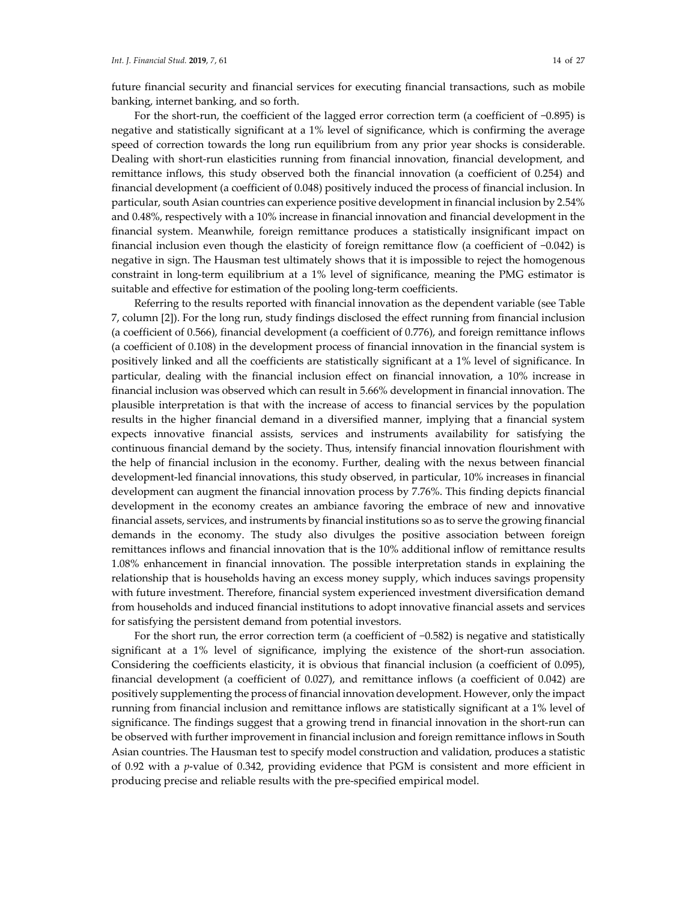future financial security and financial services for executing financial transactions, such as mobile banking, internet banking, and so forth.

For the short-run, the coefficient of the lagged error correction term (a coefficient of −0.895) is negative and statistically significant at a 1% level of significance, which is confirming the average speed of correction towards the long run equilibrium from any prior year shocks is considerable. Dealing with short-run elasticities running from financial innovation, financial development, and remittance inflows, this study observed both the financial innovation (a coefficient of 0.254) and financial development (a coefficient of 0.048) positively induced the process of financial inclusion. In particular, south Asian countries can experience positive development in financial inclusion by 2.54% and 0.48%, respectively with a 10% increase in financial innovation and financial development in the financial system. Meanwhile, foreign remittance produces a statistically insignificant impact on financial inclusion even though the elasticity of foreign remittance flow (a coefficient of −0.042) is negative in sign. The Hausman test ultimately shows that it is impossible to reject the homogenous constraint in long-term equilibrium at a 1% level of significance, meaning the PMG estimator is suitable and effective for estimation of the pooling long-term coefficients.

Referring to the results reported with financial innovation as the dependent variable (see Table 7, column [2]). For the long run, study findings disclosed the effect running from financial inclusion (a coefficient of 0.566), financial development (a coefficient of 0.776), and foreign remittance inflows (a coefficient of 0.108) in the development process of financial innovation in the financial system is positively linked and all the coefficients are statistically significant at a 1% level of significance. In particular, dealing with the financial inclusion effect on financial innovation, a 10% increase in financial inclusion was observed which can result in 5.66% development in financial innovation. The plausible interpretation is that with the increase of access to financial services by the population results in the higher financial demand in a diversified manner, implying that a financial system expects innovative financial assists, services and instruments availability for satisfying the continuous financial demand by the society. Thus, intensify financial innovation flourishment with the help of financial inclusion in the economy. Further, dealing with the nexus between financial development-led financial innovations, this study observed, in particular, 10% increases in financial development can augment the financial innovation process by 7.76%. This finding depicts financial development in the economy creates an ambiance favoring the embrace of new and innovative financial assets, services, and instruments by financial institutions so as to serve the growing financial demands in the economy. The study also divulges the positive association between foreign remittances inflows and financial innovation that is the 10% additional inflow of remittance results 1.08% enhancement in financial innovation. The possible interpretation stands in explaining the relationship that is households having an excess money supply, which induces savings propensity with future investment. Therefore, financial system experienced investment diversification demand from households and induced financial institutions to adopt innovative financial assets and services for satisfying the persistent demand from potential investors.

For the short run, the error correction term (a coefficient of −0.582) is negative and statistically significant at a 1% level of significance, implying the existence of the short-run association. Considering the coefficients elasticity, it is obvious that financial inclusion (a coefficient of 0.095), financial development (a coefficient of 0.027), and remittance inflows (a coefficient of 0.042) are positively supplementing the process of financial innovation development. However, only the impact running from financial inclusion and remittance inflows are statistically significant at a 1% level of significance. The findings suggest that a growing trend in financial innovation in the short-run can be observed with further improvement in financial inclusion and foreign remittance inflows in South Asian countries. The Hausman test to specify model construction and validation, produces a statistic of 0.92 with a *p*-value of 0.342, providing evidence that PGM is consistent and more efficient in producing precise and reliable results with the pre-specified empirical model.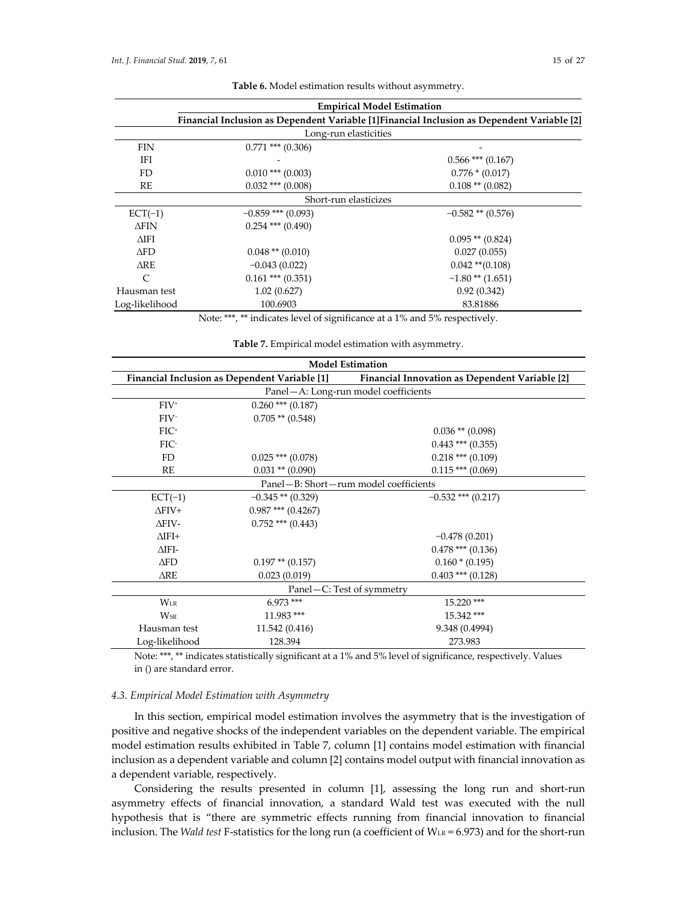| <b>Empirical Model Estimation</b> |                                                                                             |                       |  |  |  |  |
|-----------------------------------|---------------------------------------------------------------------------------------------|-----------------------|--|--|--|--|
|                                   | Financial Inclusion as Dependent Variable [1] Financial Inclusion as Dependent Variable [2] |                       |  |  |  |  |
|                                   | Long-run elasticities                                                                       |                       |  |  |  |  |
| <b>FIN</b>                        | $0.771$ *** $(0.306)$                                                                       |                       |  |  |  |  |
| IFI                               |                                                                                             | $0.566$ *** $(0.167)$ |  |  |  |  |
| FD.                               | $0.010$ *** $(0.003)$                                                                       | $0.776*(0.017)$       |  |  |  |  |
| RE                                | $0.032$ *** $(0.008)$                                                                       | $0.108$ ** $(0.082)$  |  |  |  |  |
|                                   | Short-run elasticizes                                                                       |                       |  |  |  |  |
| $ECT(-1)$                         | $-0.859$ *** (0.093)                                                                        | $-0.582$ ** $(0.576)$ |  |  |  |  |
| $\Delta$ FIN                      | $0.254$ *** $(0.490)$                                                                       |                       |  |  |  |  |
| $\Delta$ IFI                      |                                                                                             | $0.095$ ** $(0.824)$  |  |  |  |  |
| $\Delta$ FD                       | $0.048$ ** $(0.010)$                                                                        | 0.027(0.055)          |  |  |  |  |
| $\triangle$ RE                    | $-0.043(0.022)$                                                                             | $0.042$ ** $(0.108)$  |  |  |  |  |
| $\mathsf{C}$                      | $0.161$ *** $(0.351)$                                                                       | $-1.80$ ** $(1.651)$  |  |  |  |  |
| Hausman test                      | 1.02(0.627)                                                                                 | 0.92(0.342)           |  |  |  |  |
| Log-likelihood                    | 100.6903                                                                                    | 83.81886              |  |  |  |  |

**Table 6.** Model estimation results without asymmetry.

Note: \*\*\*, \*\* indicates level of significance at a 1% and 5% respectively.

**Table 7.** Empirical model estimation with asymmetry.

| <b>Model Estimation</b>                       |                                                       |                                      |  |  |  |
|-----------------------------------------------|-------------------------------------------------------|--------------------------------------|--|--|--|
| Financial Inclusion as Dependent Variable [1] | <b>Financial Innovation as Dependent Variable [2]</b> |                                      |  |  |  |
|                                               |                                                       | Panel-A: Long-run model coefficients |  |  |  |
| $FIV^+$                                       | $0.260$ *** $(0.187)$                                 |                                      |  |  |  |
| $FIV^-$                                       | $0.705$ ** $(0.548)$                                  |                                      |  |  |  |
| $FIC^+$                                       |                                                       | $0.036$ ** $(0.098)$                 |  |  |  |
| FIC-                                          |                                                       | $0.443$ *** (0.355)                  |  |  |  |
| FD                                            | $0.025$ *** $(0.078)$                                 | $0.218$ *** (0.109)                  |  |  |  |
| RE                                            | $0.031$ ** $(0.090)$                                  | $0.115$ *** (0.069)                  |  |  |  |
| Panel-B: Short-rum model coefficients         |                                                       |                                      |  |  |  |
| $ECT(-1)$                                     | $-0.345**$ (0.329)                                    | $-0.532$ *** (0.217)                 |  |  |  |
| $\Delta$ FIV+                                 | $0.987$ *** $(0.4267)$                                |                                      |  |  |  |
| $\Delta$ FIV-                                 | $0.752$ *** (0.443)                                   |                                      |  |  |  |
| $\triangle$ IFI+                              |                                                       | $-0.478(0.201)$                      |  |  |  |
| $\Delta$ IFI-                                 |                                                       | $0.478$ *** (0.136)                  |  |  |  |
| $\triangle$ FD                                | $0.197$ ** $(0.157)$                                  | $0.160 * (0.195)$                    |  |  |  |
| $\triangle$ RE                                | 0.023(0.019)                                          | $0.403$ *** $(0.128)$                |  |  |  |
|                                               |                                                       | Panel – C: Test of symmetry          |  |  |  |
| $W_{LR}$                                      | $6.973***$                                            | $15.220$ ***                         |  |  |  |
| <b>W<sub>SR</sub></b>                         | 11.983 ***                                            | 15.342***                            |  |  |  |
| Hausman test                                  | 11.542 (0.416)                                        | 9.348 (0.4994)                       |  |  |  |
| Log-likelihood                                | 128.394                                               | 273.983                              |  |  |  |

Note: \*\*\*, \*\* indicates statistically significant at a 1% and 5% level of significance, respectively. Values in () are standard error.

## *4.3. Empirical Model Estimation with Asymmetry*

In this section, empirical model estimation involves the asymmetry that is the investigation of positive and negative shocks of the independent variables on the dependent variable. The empirical model estimation results exhibited in Table 7, column [1] contains model estimation with financial inclusion as a dependent variable and column [2] contains model output with financial innovation as a dependent variable, respectively.

Considering the results presented in column [1], assessing the long run and short-run asymmetry effects of financial innovation, a standard Wald test was executed with the null hypothesis that is "there are symmetric effects running from financial innovation to financial inclusion. The *Wald test* F-statistics for the long run (a coefficient of WLR = 6.973) and for the short-run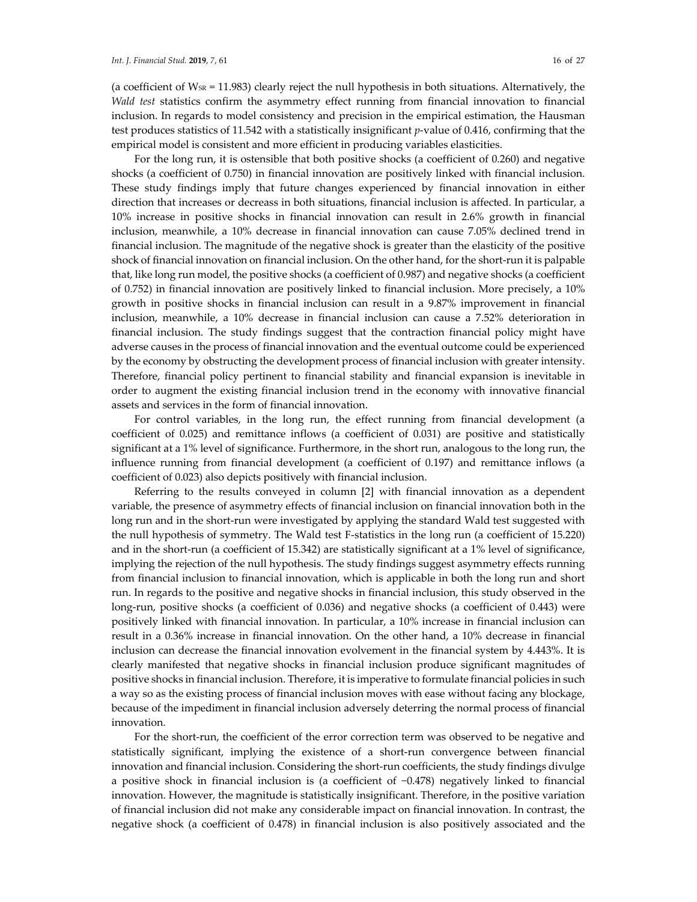(a coefficient of  $W_{SR} = 11.983$ ) clearly reject the null hypothesis in both situations. Alternatively, the *Wald test* statistics confirm the asymmetry effect running from financial innovation to financial inclusion. In regards to model consistency and precision in the empirical estimation, the Hausman test produces statistics of 11.542 with a statistically insignificant *p*-value of 0.416, confirming that the empirical model is consistent and more efficient in producing variables elasticities.

For the long run, it is ostensible that both positive shocks (a coefficient of 0.260) and negative shocks (a coefficient of 0.750) in financial innovation are positively linked with financial inclusion. These study findings imply that future changes experienced by financial innovation in either direction that increases or decreass in both situations, financial inclusion is affected. In particular, a 10% increase in positive shocks in financial innovation can result in 2.6% growth in financial inclusion, meanwhile, a 10% decrease in financial innovation can cause 7.05% declined trend in financial inclusion. The magnitude of the negative shock is greater than the elasticity of the positive shock of financial innovation on financial inclusion. On the other hand, for the short-run it is palpable that, like long run model, the positive shocks (a coefficient of 0.987) and negative shocks (a coefficient of 0.752) in financial innovation are positively linked to financial inclusion. More precisely, a 10% growth in positive shocks in financial inclusion can result in a 9.87% improvement in financial inclusion, meanwhile, a 10% decrease in financial inclusion can cause a 7.52% deterioration in financial inclusion. The study findings suggest that the contraction financial policy might have adverse causes in the process of financial innovation and the eventual outcome could be experienced by the economy by obstructing the development process of financial inclusion with greater intensity. Therefore, financial policy pertinent to financial stability and financial expansion is inevitable in order to augment the existing financial inclusion trend in the economy with innovative financial assets and services in the form of financial innovation.

For control variables, in the long run, the effect running from financial development (a coefficient of 0.025) and remittance inflows (a coefficient of 0.031) are positive and statistically significant at a 1% level of significance. Furthermore, in the short run, analogous to the long run, the influence running from financial development (a coefficient of 0.197) and remittance inflows (a coefficient of 0.023) also depicts positively with financial inclusion.

Referring to the results conveyed in column [2] with financial innovation as a dependent variable, the presence of asymmetry effects of financial inclusion on financial innovation both in the long run and in the short-run were investigated by applying the standard Wald test suggested with the null hypothesis of symmetry. The Wald test F-statistics in the long run (a coefficient of 15.220) and in the short-run (a coefficient of 15.342) are statistically significant at a 1% level of significance, implying the rejection of the null hypothesis. The study findings suggest asymmetry effects running from financial inclusion to financial innovation, which is applicable in both the long run and short run. In regards to the positive and negative shocks in financial inclusion, this study observed in the long-run, positive shocks (a coefficient of 0.036) and negative shocks (a coefficient of 0.443) were positively linked with financial innovation. In particular, a 10% increase in financial inclusion can result in a 0.36% increase in financial innovation. On the other hand, a 10% decrease in financial inclusion can decrease the financial innovation evolvement in the financial system by 4.443%. It is clearly manifested that negative shocks in financial inclusion produce significant magnitudes of positive shocks in financial inclusion. Therefore, it is imperative to formulate financial policies in such a way so as the existing process of financial inclusion moves with ease without facing any blockage, because of the impediment in financial inclusion adversely deterring the normal process of financial innovation.

For the short-run, the coefficient of the error correction term was observed to be negative and statistically significant, implying the existence of a short-run convergence between financial innovation and financial inclusion. Considering the short-run coefficients, the study findings divulge a positive shock in financial inclusion is (a coefficient of −0.478) negatively linked to financial innovation. However, the magnitude is statistically insignificant. Therefore, in the positive variation of financial inclusion did not make any considerable impact on financial innovation. In contrast, the negative shock (a coefficient of 0.478) in financial inclusion is also positively associated and the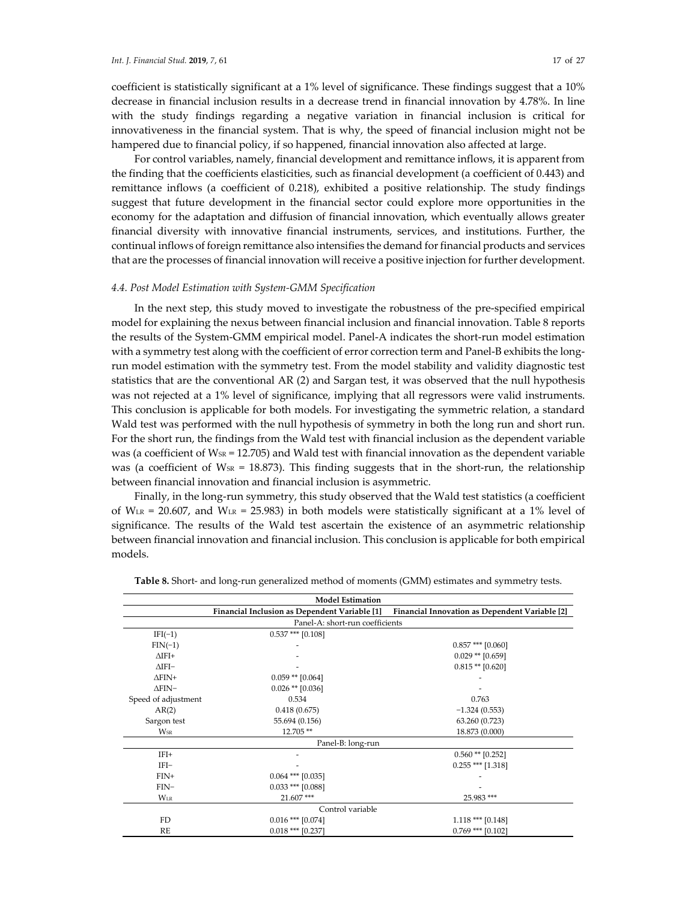coefficient is statistically significant at a 1% level of significance. These findings suggest that a 10% decrease in financial inclusion results in a decrease trend in financial innovation by 4.78%. In line with the study findings regarding a negative variation in financial inclusion is critical for innovativeness in the financial system. That is why, the speed of financial inclusion might not be hampered due to financial policy, if so happened, financial innovation also affected at large.

For control variables, namely, financial development and remittance inflows, it is apparent from the finding that the coefficients elasticities, such as financial development (a coefficient of 0.443) and remittance inflows (a coefficient of 0.218), exhibited a positive relationship. The study findings suggest that future development in the financial sector could explore more opportunities in the economy for the adaptation and diffusion of financial innovation, which eventually allows greater financial diversity with innovative financial instruments, services, and institutions. Further, the continual inflows of foreign remittance also intensifies the demand for financial products and services that are the processes of financial innovation will receive a positive injection for further development.

#### *4.4. Post Model Estimation with System-GMM Specification*

In the next step, this study moved to investigate the robustness of the pre-specified empirical model for explaining the nexus between financial inclusion and financial innovation. Table 8 reports the results of the System-GMM empirical model. Panel-A indicates the short-run model estimation with a symmetry test along with the coefficient of error correction term and Panel-B exhibits the longrun model estimation with the symmetry test. From the model stability and validity diagnostic test statistics that are the conventional AR (2) and Sargan test, it was observed that the null hypothesis was not rejected at a 1% level of significance, implying that all regressors were valid instruments. This conclusion is applicable for both models. For investigating the symmetric relation, a standard Wald test was performed with the null hypothesis of symmetry in both the long run and short run. For the short run, the findings from the Wald test with financial inclusion as the dependent variable was (a coefficient of  $W_{SR} = 12.705$ ) and Wald test with financial innovation as the dependent variable was (a coefficient of  $W_{SR} = 18.873$ ). This finding suggests that in the short-run, the relationship between financial innovation and financial inclusion is asymmetric.

Finally, in the long-run symmetry, this study observed that the Wald test statistics (a coefficient of  $W_{LR}$  = 20.607, and  $W_{LR}$  = 25.983) in both models were statistically significant at a 1% level of significance. The results of the Wald test ascertain the existence of an asymmetric relationship between financial innovation and financial inclusion. This conclusion is applicable for both empirical models.

| <b>Model Estimation</b>         |                      |                                                                                              |  |  |  |  |  |  |
|---------------------------------|----------------------|----------------------------------------------------------------------------------------------|--|--|--|--|--|--|
|                                 |                      | Financial Inclusion as Dependent Variable [1] Financial Innovation as Dependent Variable [2] |  |  |  |  |  |  |
| Panel-A: short-run coefficients |                      |                                                                                              |  |  |  |  |  |  |
| $IFI(-1)$                       | $0.537$ *** [0.108]  |                                                                                              |  |  |  |  |  |  |
| $FIN(-1)$                       |                      | $0.857$ *** [0.060]                                                                          |  |  |  |  |  |  |
| $\Delta$ IFI+                   |                      | $0.029$ ** [0.659]                                                                           |  |  |  |  |  |  |
| $\Delta$ IFI-                   |                      | $0.815**$ [0.620]                                                                            |  |  |  |  |  |  |
| $\Delta$ FIN+                   | $0.059$ ** $[0.064]$ |                                                                                              |  |  |  |  |  |  |
| $\Delta$ FIN-                   | $0.026$ ** [0.036]   |                                                                                              |  |  |  |  |  |  |
| Speed of adjustment<br>0.534    |                      | 0.763                                                                                        |  |  |  |  |  |  |
| AR(2)<br>0.418(0.675)           |                      | $-1.324(0.553)$                                                                              |  |  |  |  |  |  |
| 55.694 (0.156)<br>Sargon test   |                      | 63.260 (0.723)                                                                               |  |  |  |  |  |  |
| Wsr                             | 12.705**             | 18.873 (0.000)                                                                               |  |  |  |  |  |  |
|                                 | Panel-B: long-run    |                                                                                              |  |  |  |  |  |  |
| $IFI+$                          |                      | $0.560$ ** [0.252]                                                                           |  |  |  |  |  |  |
| IFI-                            |                      | $0.255$ *** [1.318]                                                                          |  |  |  |  |  |  |
| $FIN+$                          | $0.064$ *** [0.035]  |                                                                                              |  |  |  |  |  |  |
| $FIN-$                          | $0.033$ *** [0.088]  |                                                                                              |  |  |  |  |  |  |
| <b>WLR</b>                      | 21.607***            | 25.983***                                                                                    |  |  |  |  |  |  |
|                                 | Control variable     |                                                                                              |  |  |  |  |  |  |
| FD                              | $0.016$ *** [0.074]  | $1.118$ *** [0.148]                                                                          |  |  |  |  |  |  |
| RE                              | $0.018$ *** [0.237]  | $0.769$ *** [0.102]                                                                          |  |  |  |  |  |  |

|  |  | Table 8. Short- and long-run generalized method of moments (GMM) estimates and symmetry tests. |  |  |  |
|--|--|------------------------------------------------------------------------------------------------|--|--|--|
|--|--|------------------------------------------------------------------------------------------------|--|--|--|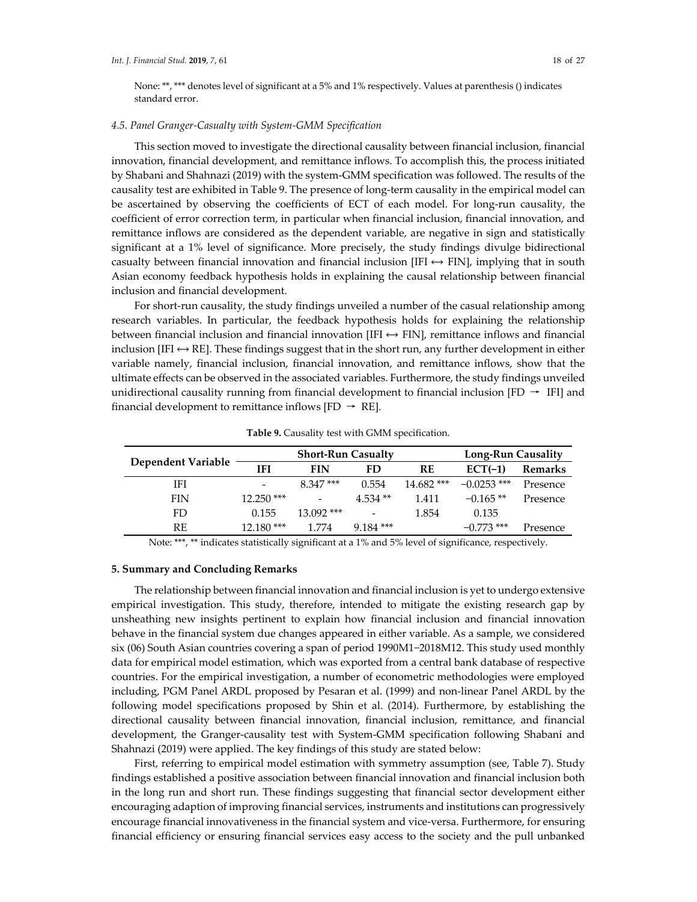None: \*\*, \*\*\* denotes level of significant at a 5% and 1% respectively. Values at parenthesis () indicates standard error.

#### *4.5. Panel Granger-Casualty with System-GMM Specification*

This section moved to investigate the directional causality between financial inclusion, financial innovation, financial development, and remittance inflows. To accomplish this, the process initiated by Shabani and Shahnazi (2019) with the system-GMM specification was followed. The results of the causality test are exhibited in Table 9. The presence of long-term causality in the empirical model can be ascertained by observing the coefficients of ECT of each model. For long-run causality, the coefficient of error correction term, in particular when financial inclusion, financial innovation, and remittance inflows are considered as the dependent variable, are negative in sign and statistically significant at a 1% level of significance. More precisely, the study findings divulge bidirectional casualty between financial innovation and financial inclusion [IFI  $\leftrightarrow$  FIN], implying that in south Asian economy feedback hypothesis holds in explaining the causal relationship between financial inclusion and financial development.

For short-run causality, the study findings unveiled a number of the casual relationship among research variables. In particular, the feedback hypothesis holds for explaining the relationship between financial inclusion and financial innovation [IFI  $\leftrightarrow$  FIN], remittance inflows and financial inclusion [IFI  $\leftrightarrow$  RE]. These findings suggest that in the short run, any further development in either variable namely, financial inclusion, financial innovation, and remittance inflows, show that the ultimate effects can be observed in the associated variables. Furthermore, the study findings unveiled unidirectional causality running from financial development to financial inclusion  $[FD \rightarrow IFI]$  and financial development to remittance inflows [FD  $\rightarrow$  RE].

|                    | <b>Short-Run Casualty</b>    |              |             |              | <b>Long-Run Causality</b> |          |
|--------------------|------------------------------|--------------|-------------|--------------|---------------------------|----------|
| Dependent Variable | IFI                          | FIN          | FD          | RE           | $ECT(-1)$                 | Remarks  |
| IFI                | $\qquad \qquad \blacksquare$ | 8.347***     | 0.554       | $14.682$ *** | $-0.0253$ ***             | Presence |
| <b>FIN</b>         | $12.250$ ***                 |              | $4.534**$   | 1.411        | $-0.165**$                | Presence |
| FD                 | 0.155                        | $13.092$ *** |             | 1.854        | 0.135                     |          |
| RE                 | $12.180***$                  | 1.774        | $9.184$ *** |              | $-0.773$ ***              | Presence |

**Table 9.** Causality test with GMM specification.

Note: \*\*\*, \*\* indicates statistically significant at a 1% and 5% level of significance, respectively.

## **5. Summary and Concluding Remarks**

The relationship between financial innovation and financial inclusion is yet to undergo extensive empirical investigation. This study, therefore, intended to mitigate the existing research gap by unsheathing new insights pertinent to explain how financial inclusion and financial innovation behave in the financial system due changes appeared in either variable. As a sample, we considered six (06) South Asian countries covering a span of period 1990M1−2018M12. This study used monthly data for empirical model estimation, which was exported from a central bank database of respective countries. For the empirical investigation, a number of econometric methodologies were employed including, PGM Panel ARDL proposed by Pesaran et al. (1999) and non-linear Panel ARDL by the following model specifications proposed by Shin et al. (2014). Furthermore, by establishing the directional causality between financial innovation, financial inclusion, remittance, and financial development, the Granger-causality test with System-GMM specification following Shabani and Shahnazi (2019) were applied. The key findings of this study are stated below:

First, referring to empirical model estimation with symmetry assumption (see, Table 7). Study findings established a positive association between financial innovation and financial inclusion both in the long run and short run. These findings suggesting that financial sector development either encouraging adaption of improving financial services, instruments and institutions can progressively encourage financial innovativeness in the financial system and vice-versa. Furthermore, for ensuring financial efficiency or ensuring financial services easy access to the society and the pull unbanked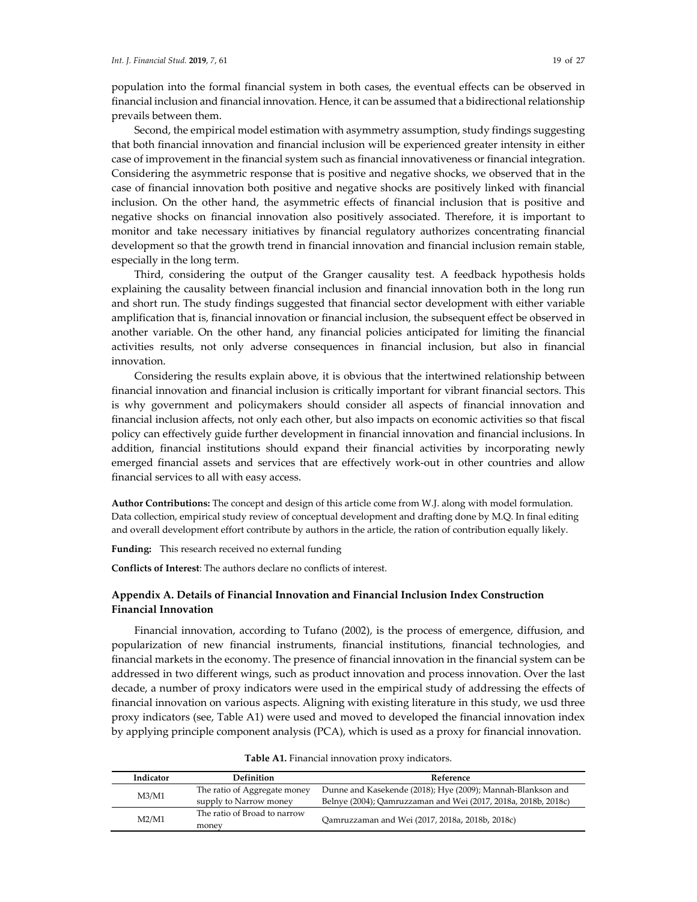population into the formal financial system in both cases, the eventual effects can be observed in financial inclusion and financial innovation. Hence, it can be assumed that a bidirectional relationship prevails between them.

Second, the empirical model estimation with asymmetry assumption, study findings suggesting that both financial innovation and financial inclusion will be experienced greater intensity in either case of improvement in the financial system such as financial innovativeness or financial integration. Considering the asymmetric response that is positive and negative shocks, we observed that in the case of financial innovation both positive and negative shocks are positively linked with financial inclusion. On the other hand, the asymmetric effects of financial inclusion that is positive and negative shocks on financial innovation also positively associated. Therefore, it is important to monitor and take necessary initiatives by financial regulatory authorizes concentrating financial development so that the growth trend in financial innovation and financial inclusion remain stable, especially in the long term.

Third, considering the output of the Granger causality test. A feedback hypothesis holds explaining the causality between financial inclusion and financial innovation both in the long run and short run. The study findings suggested that financial sector development with either variable amplification that is, financial innovation or financial inclusion, the subsequent effect be observed in another variable. On the other hand, any financial policies anticipated for limiting the financial activities results, not only adverse consequences in financial inclusion, but also in financial innovation.

Considering the results explain above, it is obvious that the intertwined relationship between financial innovation and financial inclusion is critically important for vibrant financial sectors. This is why government and policymakers should consider all aspects of financial innovation and financial inclusion affects, not only each other, but also impacts on economic activities so that fiscal policy can effectively guide further development in financial innovation and financial inclusions. In addition, financial institutions should expand their financial activities by incorporating newly emerged financial assets and services that are effectively work-out in other countries and allow financial services to all with easy access.

**Author Contributions:** The concept and design of this article come from W.J. along with model formulation. Data collection, empirical study review of conceptual development and drafting done by M.Q. In final editing and overall development effort contribute by authors in the article, the ration of contribution equally likely.

**Funding:** This research received no external funding

**Conflicts of Interest**: The authors declare no conflicts of interest.

## **Appendix A. Details of Financial Innovation and Financial Inclusion Index Construction Financial Innovation**

Financial innovation, according to Tufano (2002), is the process of emergence, diffusion, and popularization of new financial instruments, financial institutions, financial technologies, and financial markets in the economy. The presence of financial innovation in the financial system can be addressed in two different wings, such as product innovation and process innovation. Over the last decade, a number of proxy indicators were used in the empirical study of addressing the effects of financial innovation on various aspects. Aligning with existing literature in this study, we usd three proxy indicators (see, Table A1) were used and moved to developed the financial innovation index by applying principle component analysis (PCA), which is used as a proxy for financial innovation.

| Indicator | Definition                   | Reference                                                      |  |
|-----------|------------------------------|----------------------------------------------------------------|--|
| M3/M1     | The ratio of Aggregate money | Dunne and Kasekende (2018); Hye (2009); Mannah-Blankson and    |  |
|           | supply to Narrow money       | Belnye (2004); Qamruzzaman and Wei (2017, 2018a, 2018b, 2018c) |  |
| M2/M1     | The ratio of Broad to narrow | Oamruzzaman and Wei (2017, 2018a, 2018b, 2018c)                |  |
|           | money                        |                                                                |  |

|  |  |  | Table A1. Financial innovation proxy indicators. |
|--|--|--|--------------------------------------------------|
|--|--|--|--------------------------------------------------|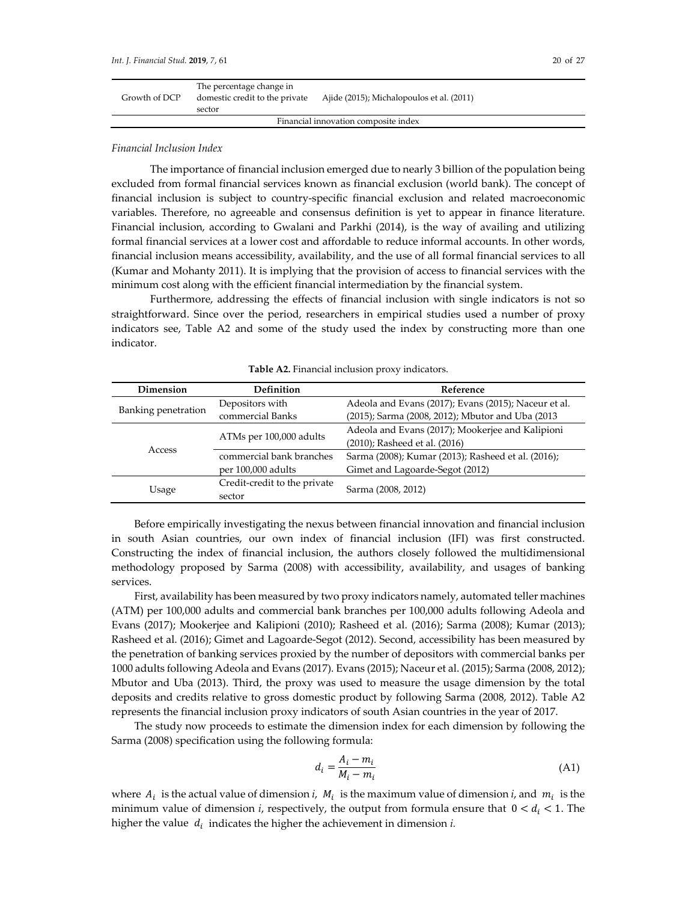| Growth of DCP                        | The percentage change in<br>domestic credit to the private<br>sector | Ajide (2015); Michalopoulos et al. (2011) |  |  |
|--------------------------------------|----------------------------------------------------------------------|-------------------------------------------|--|--|
| Financial innovation composite index |                                                                      |                                           |  |  |

#### *Financial Inclusion Index*

The importance of financial inclusion emerged due to nearly 3 billion of the population being excluded from formal financial services known as financial exclusion (world bank). The concept of financial inclusion is subject to country-specific financial exclusion and related macroeconomic variables. Therefore, no agreeable and consensus definition is yet to appear in finance literature. Financial inclusion, according to Gwalani and Parkhi (2014), is the way of availing and utilizing formal financial services at a lower cost and affordable to reduce informal accounts. In other words, financial inclusion means accessibility, availability, and the use of all formal financial services to all (Kumar and Mohanty 2011). It is implying that the provision of access to financial services with the minimum cost along with the efficient financial intermediation by the financial system.

Furthermore, addressing the effects of financial inclusion with single indicators is not so straightforward. Since over the period, researchers in empirical studies used a number of proxy indicators see, Table A2 and some of the study used the index by constructing more than one indicator.

| Dimension           | <b>Definition</b>            | Reference                                            |  |
|---------------------|------------------------------|------------------------------------------------------|--|
|                     | Depositors with              | Adeola and Evans (2017); Evans (2015); Naceur et al. |  |
| Banking penetration | commercial Banks             | (2015); Sarma (2008, 2012); Mbutor and Uba (2013)    |  |
|                     |                              | Adeola and Evans (2017); Mookerjee and Kalipioni     |  |
|                     | ATMs per 100,000 adults      | (2010); Rasheed et al. (2016)                        |  |
| Access              | commercial bank branches     | Sarma (2008); Kumar (2013); Rasheed et al. (2016);   |  |
|                     | per 100,000 adults           | Gimet and Lagoarde-Segot (2012)                      |  |
|                     | Credit-credit to the private | Sarma (2008, 2012)                                   |  |
| Usage               | sector                       |                                                      |  |

**Table A2.** Financial inclusion proxy indicators.

Before empirically investigating the nexus between financial innovation and financial inclusion in south Asian countries, our own index of financial inclusion (IFI) was first constructed. Constructing the index of financial inclusion, the authors closely followed the multidimensional methodology proposed by Sarma (2008) with accessibility, availability, and usages of banking services.

First, availability has been measured by two proxy indicators namely, automated teller machines (ATM) per 100,000 adults and commercial bank branches per 100,000 adults following Adeola and Evans (2017); Mookerjee and Kalipioni (2010); Rasheed et al. (2016); Sarma (2008); Kumar (2013); Rasheed et al. (2016); Gimet and Lagoarde-Segot (2012). Second, accessibility has been measured by the penetration of banking services proxied by the number of depositors with commercial banks per 1000 adults following Adeola and Evans (2017). Evans (2015); Naceur et al. (2015); Sarma (2008, 2012); Mbutor and Uba (2013). Third, the proxy was used to measure the usage dimension by the total deposits and credits relative to gross domestic product by following Sarma (2008, 2012). Table A2 represents the financial inclusion proxy indicators of south Asian countries in the year of 2017.

The study now proceeds to estimate the dimension index for each dimension by following the Sarma (2008) specification using the following formula:

$$
d_i = \frac{A_i - m_i}{M_i - m_i} \tag{A1}
$$

where  $A_i$  is the actual value of dimension *i*,  $M_i$  is the maximum value of dimension *i*, and  $m_i$  is the minimum value of dimension *i*, respectively, the output from formula ensure that  $0 < d_i < 1$ . The higher the value  $d_i$  indicates the higher the achievement in dimension  $i$ .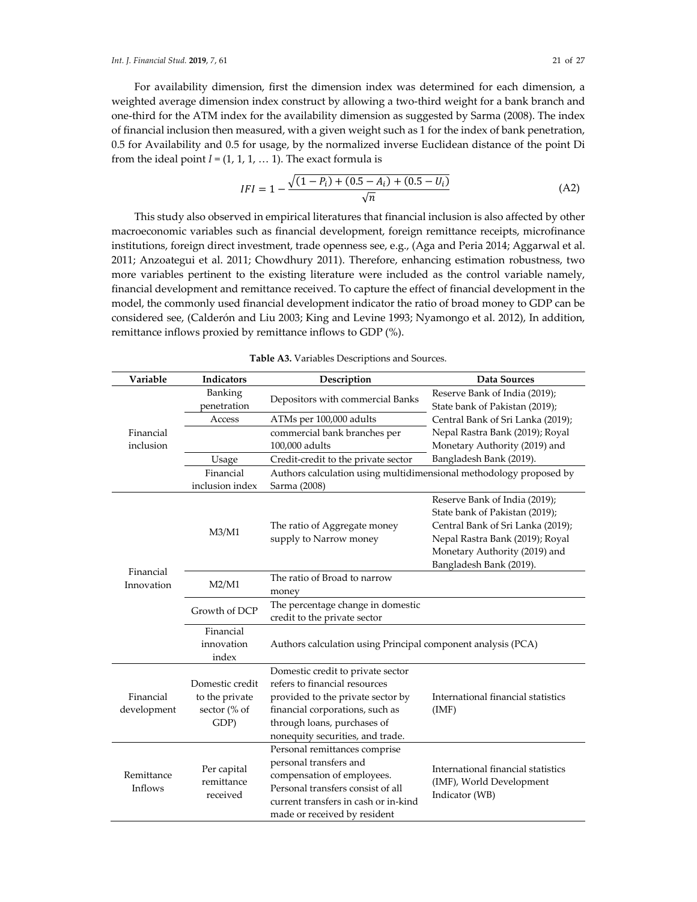For availability dimension, first the dimension index was determined for each dimension, a weighted average dimension index construct by allowing a two-third weight for a bank branch and one-third for the ATM index for the availability dimension as suggested by Sarma (2008). The index of financial inclusion then measured, with a given weight such as 1 for the index of bank penetration, 0.5 for Availability and 0.5 for usage, by the normalized inverse Euclidean distance of the point Di from the ideal point  $I = (1, 1, 1, \dots 1)$ . The exact formula is

$$
IFI = 1 - \frac{\sqrt{(1 - P_i) + (0.5 - A_i) + (0.5 - U_i)}}{\sqrt{n}}
$$
(A2)

This study also observed in empirical literatures that financial inclusion is also affected by other macroeconomic variables such as financial development, foreign remittance receipts, microfinance institutions, foreign direct investment, trade openness see, e.g., (Aga and Peria 2014; Aggarwal et al. 2011; Anzoategui et al. 2011; Chowdhury 2011). Therefore, enhancing estimation robustness, two more variables pertinent to the existing literature were included as the control variable namely, financial development and remittance received. To capture the effect of financial development in the model, the commonly used financial development indicator the ratio of broad money to GDP can be considered see, (Calderón and Liu 2003; King and Levine 1993; Nyamongo et al. 2012), In addition, remittance inflows proxied by remittance inflows to GDP (%).

| Variable                 | <b>Indicators</b>                                         | Description                                                                                                                                                                                                   | Data Sources                                                                                                                                                                                        |  |
|--------------------------|-----------------------------------------------------------|---------------------------------------------------------------------------------------------------------------------------------------------------------------------------------------------------------------|-----------------------------------------------------------------------------------------------------------------------------------------------------------------------------------------------------|--|
|                          | Banking<br>penetration                                    | Depositors with commercial Banks                                                                                                                                                                              | Reserve Bank of India (2019);<br>State bank of Pakistan (2019);                                                                                                                                     |  |
|                          | Access                                                    | ATMs per 100,000 adults                                                                                                                                                                                       | Central Bank of Sri Lanka (2019);                                                                                                                                                                   |  |
| Financial                |                                                           | commercial bank branches per                                                                                                                                                                                  | Nepal Rastra Bank (2019); Royal                                                                                                                                                                     |  |
| inclusion                |                                                           | 100,000 adults                                                                                                                                                                                                | Monetary Authority (2019) and                                                                                                                                                                       |  |
|                          | Usage                                                     | Credit-credit to the private sector                                                                                                                                                                           | Bangladesh Bank (2019).                                                                                                                                                                             |  |
|                          | Financial                                                 | Authors calculation using multidimensional methodology proposed by                                                                                                                                            |                                                                                                                                                                                                     |  |
|                          | inclusion index                                           | Sarma (2008)                                                                                                                                                                                                  |                                                                                                                                                                                                     |  |
| Financial<br>Innovation  | M3/M1                                                     | The ratio of Aggregate money<br>supply to Narrow money                                                                                                                                                        | Reserve Bank of India (2019);<br>State bank of Pakistan (2019);<br>Central Bank of Sri Lanka (2019);<br>Nepal Rastra Bank (2019); Royal<br>Monetary Authority (2019) and<br>Bangladesh Bank (2019). |  |
|                          | M2/M1                                                     | The ratio of Broad to narrow<br>money                                                                                                                                                                         |                                                                                                                                                                                                     |  |
|                          | Growth of DCP                                             | The percentage change in domestic<br>credit to the private sector                                                                                                                                             |                                                                                                                                                                                                     |  |
|                          | Financial<br>innovation<br>index                          | Authors calculation using Principal component analysis (PCA)                                                                                                                                                  |                                                                                                                                                                                                     |  |
| Financial<br>development | Domestic credit<br>to the private<br>sector (% of<br>GDP) | Domestic credit to private sector<br>refers to financial resources<br>provided to the private sector by<br>financial corporations, such as<br>through loans, purchases of<br>nonequity securities, and trade. | International financial statistics<br>(IMF)                                                                                                                                                         |  |
| Remittance<br>Inflows    | Per capital<br>remittance<br>received                     | Personal remittances comprise<br>personal transfers and<br>compensation of employees.<br>Personal transfers consist of all<br>current transfers in cash or in-kind<br>made or received by resident            | International financial statistics<br>(IMF), World Development<br>Indicator (WB)                                                                                                                    |  |

**Table A3.** Variables Descriptions and Sources.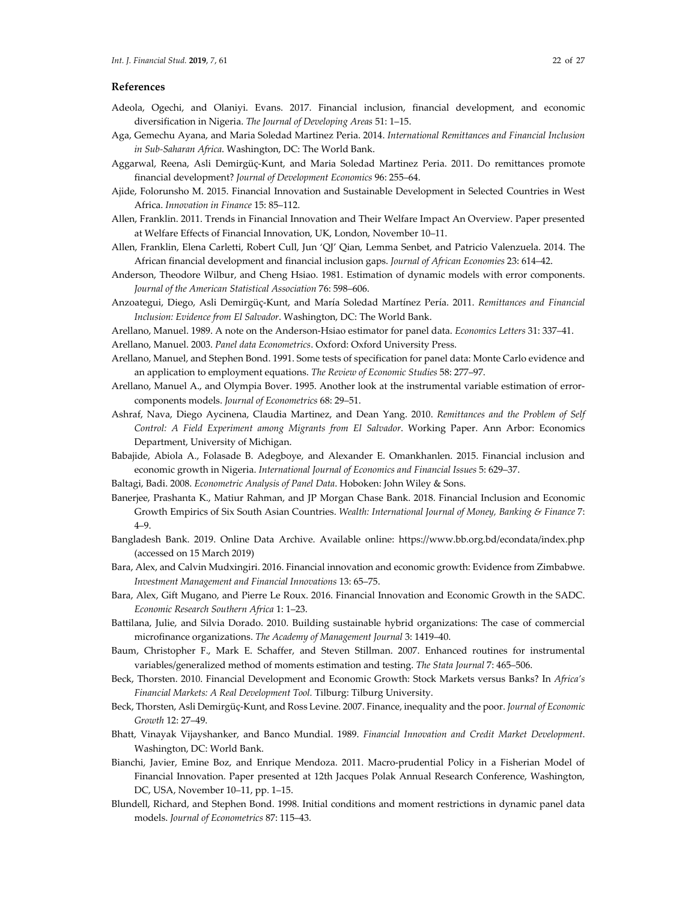- Adeola, Ogechi, and Olaniyi. Evans. 2017. Financial inclusion, financial development, and economic diversification in Nigeria. *The Journal of Developing Areas* 51: 1–15.
- Aga, Gemechu Ayana, and Maria Soledad Martinez Peria. 2014. *International Remittances and Financial Inclusion in Sub-Saharan Africa*. Washington, DC: The World Bank.
- Aggarwal, Reena, Asli Demirgüç-Kunt, and Maria Soledad Martinez Peria. 2011. Do remittances promote financial development? *Journal of Development Economics* 96: 255–64.
- Ajide, Folorunsho M. 2015. Financial Innovation and Sustainable Development in Selected Countries in West Africa. *Innovation in Finance* 15: 85–112.
- Allen, Franklin. 2011. Trends in Financial Innovation and Their Welfare Impact An Overview. Paper presented at Welfare Effects of Financial Innovation, UK, London, November 10–11.
- Allen, Franklin, Elena Carletti, Robert Cull, Jun 'QJ' Qian, Lemma Senbet, and Patricio Valenzuela. 2014. The African financial development and financial inclusion gaps. *Journal of African Economies* 23: 614–42.
- Anderson, Theodore Wilbur, and Cheng Hsiao. 1981. Estimation of dynamic models with error components. *Journal of the American Statistical Association* 76: 598–606.
- Anzoategui, Diego, Asli Demirgüç-Kunt, and María Soledad Martínez Pería. 2011. *Remittances and Financial Inclusion: Evidence from El Salvador*. Washington, DC: The World Bank.
- Arellano, Manuel. 1989. A note on the Anderson-Hsiao estimator for panel data. *Economics Letters* 31: 337–41.
- Arellano, Manuel. 2003. *Panel data Econometrics*. Oxford: Oxford University Press.
- Arellano, Manuel, and Stephen Bond. 1991. Some tests of specification for panel data: Monte Carlo evidence and an application to employment equations. *The Review of Economic Studies* 58: 277–97.
- Arellano, Manuel A., and Olympia Bover. 1995. Another look at the instrumental variable estimation of errorcomponents models. *Journal of Econometrics* 68: 29–51.
- Ashraf, Nava, Diego Aycinena, Claudia Martinez, and Dean Yang. 2010. *Remittances and the Problem of Self Control: A Field Experiment among Migrants from El Salvador*. Working Paper. Ann Arbor: Economics Department, University of Michigan.
- Babajide, Abiola A., Folasade B. Adegboye, and Alexander E. Omankhanlen. 2015. Financial inclusion and economic growth in Nigeria. *International Journal of Economics and Financial Issues* 5: 629–37.
- Baltagi, Badi. 2008. *Econometric Analysis of Panel Data*. Hoboken: John Wiley & Sons.
- Banerjee, Prashanta K., Matiur Rahman, and JP Morgan Chase Bank. 2018. Financial Inclusion and Economic Growth Empirics of Six South Asian Countries. *Wealth: International Journal of Money, Banking & Finance* 7: 4–9.
- Bangladesh Bank. 2019. Online Data Archive. Available online: https://www.bb.org.bd/econdata/index.php (accessed on 15 March 2019)
- Bara, Alex, and Calvin Mudxingiri. 2016. Financial innovation and economic growth: Evidence from Zimbabwe. *Investment Management and Financial Innovations* 13: 65–75.
- Bara, Alex, Gift Mugano, and Pierre Le Roux. 2016. Financial Innovation and Economic Growth in the SADC. *Economic Research Southern Africa* 1: 1–23.
- Battilana, Julie, and Silvia Dorado. 2010. Building sustainable hybrid organizations: The case of commercial microfinance organizations. *The Academy of Management Journal* 3: 1419–40.
- Baum, Christopher F., Mark E. Schaffer, and Steven Stillman. 2007. Enhanced routines for instrumental variables/generalized method of moments estimation and testing. *The Stata Journal* 7: 465–506.
- Beck, Thorsten. 2010. Financial Development and Economic Growth: Stock Markets versus Banks? In *Africa's Financial Markets: A Real Development Tool.* Tilburg: Tilburg University.
- Beck, Thorsten, Asli Demirgüç-Kunt, and Ross Levine. 2007. Finance, inequality and the poor. *Journal of Economic Growth* 12: 27–49.
- Bhatt, Vinayak Vijayshanker, and Banco Mundial. 1989. *Financial Innovation and Credit Market Development*. Washington, DC: World Bank.
- Bianchi, Javier, Emine Boz, and Enrique Mendoza. 2011. Macro-prudential Policy in a Fisherian Model of Financial Innovation. Paper presented at 12th Jacques Polak Annual Research Conference, Washington, DC, USA, November 10–11, pp. 1–15.
- Blundell, Richard, and Stephen Bond. 1998. Initial conditions and moment restrictions in dynamic panel data models. *Journal of Econometrics* 87: 115–43.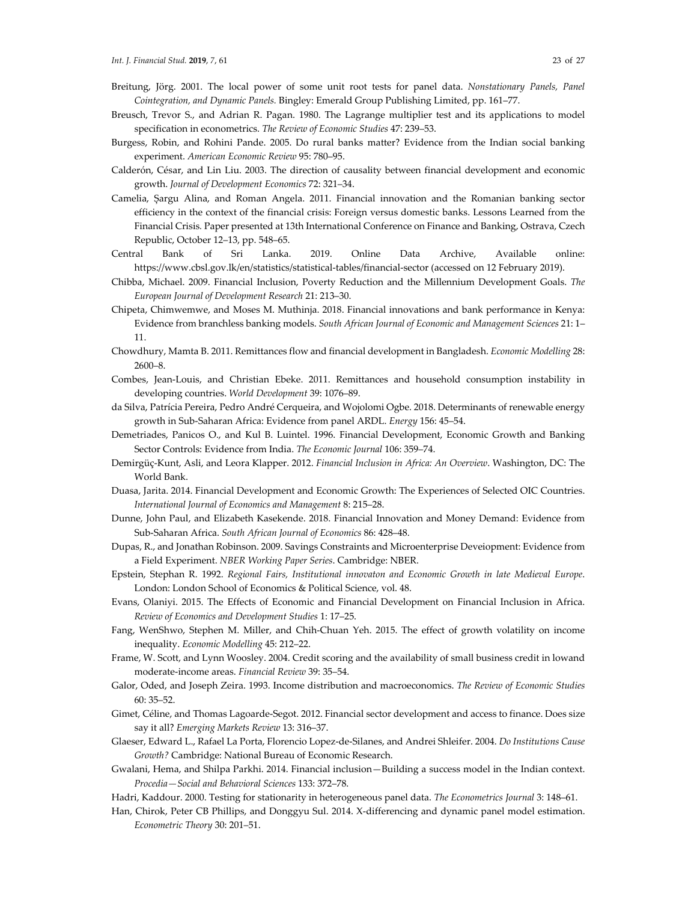- Breitung, Jörg. 2001. The local power of some unit root tests for panel data. *Nonstationary Panels, Panel Cointegration, and Dynamic Panels.* Bingley: Emerald Group Publishing Limited, pp. 161–77.
- Breusch, Trevor S., and Adrian R. Pagan. 1980. The Lagrange multiplier test and its applications to model specification in econometrics. *The Review of Economic Studies* 47: 239–53.
- Burgess, Robin, and Rohini Pande. 2005. Do rural banks matter? Evidence from the Indian social banking experiment. *American Economic Review* 95: 780–95.
- Calderón, César, and Lin Liu. 2003. The direction of causality between financial development and economic growth. *Journal of Development Economics* 72: 321–34.
- Camelia, Șargu Alina, and Roman Angela. 2011. Financial innovation and the Romanian banking sector efficiency in the context of the financial crisis: Foreign versus domestic banks. Lessons Learned from the Financial Crisis*.* Paper presented at 13th International Conference on Finance and Banking, Ostrava, Czech Republic, October 12–13, pp. 548–65.
- Central Bank of Sri Lanka. 2019. Online Data Archive, Available online: https://www.cbsl.gov.lk/en/statistics/statistical-tables/financial-sector (accessed on 12 February 2019).
- Chibba, Michael. 2009. Financial Inclusion, Poverty Reduction and the Millennium Development Goals. *The European Journal of Development Research* 21: 213–30.
- Chipeta, Chimwemwe, and Moses M. Muthinja. 2018. Financial innovations and bank performance in Kenya: Evidence from branchless banking models. *South African Journal of Economic and Management Sciences* 21: 1– 11.
- Chowdhury, Mamta B. 2011. Remittances flow and financial development in Bangladesh. *Economic Modelling* 28: 2600–8.
- Combes, Jean-Louis, and Christian Ebeke. 2011. Remittances and household consumption instability in developing countries. *World Development* 39: 1076–89.
- da Silva, Patrícia Pereira, Pedro André Cerqueira, and Wojolomi Ogbe. 2018. Determinants of renewable energy growth in Sub-Saharan Africa: Evidence from panel ARDL. *Energy* 156: 45–54.
- Demetriades, Panicos O., and Kul B. Luintel. 1996. Financial Development, Economic Growth and Banking Sector Controls: Evidence from India. *The Economic Journal* 106: 359–74.
- Demirgüç-Kunt, Asli, and Leora Klapper. 2012. *Financial Inclusion in Africa: An Overview*. Washington, DC: The World Bank.
- Duasa, Jarita. 2014. Financial Development and Economic Growth: The Experiences of Selected OIC Countries. *International Journal of Economics and Management* 8: 215–28.
- Dunne, John Paul, and Elizabeth Kasekende. 2018. Financial Innovation and Money Demand: Evidence from Sub-Saharan Africa. *South African Journal of Economics* 86: 428–48.
- Dupas, R., and Jonathan Robinson. 2009. Savings Constraints and Microenterprise Deveiopment: Evidence from a Field Experiment. *NBER Working Paper Series*. Cambridge: NBER.
- Epstein, Stephan R. 1992. *Regional Fairs, Institutional innovaton and Economic Growth in late Medieval Europe*. London: London School of Economics & Political Science, vol. 48.
- Evans, Olaniyi. 2015. The Effects of Economic and Financial Development on Financial Inclusion in Africa. *Review of Economics and Development Studies* 1: 17–25.
- Fang, WenShwo, Stephen M. Miller, and Chih-Chuan Yeh. 2015. The effect of growth volatility on income inequality. *Economic Modelling* 45: 212–22.
- Frame, W. Scott, and Lynn Woosley. 2004. Credit scoring and the availability of small business credit in lowand moderate-income areas. *Financial Review* 39: 35–54.
- Galor, Oded, and Joseph Zeira. 1993. Income distribution and macroeconomics. *The Review of Economic Studies* 60: 35–52.
- Gimet, Céline, and Thomas Lagoarde-Segot. 2012. Financial sector development and access to finance. Does size say it all? *Emerging Markets Review* 13: 316–37.
- Glaeser, Edward L., Rafael La Porta, Florencio Lopez-de-Silanes, and Andrei Shleifer. 2004. *Do Institutions Cause Growth?* Cambridge: National Bureau of Economic Research.
- Gwalani, Hema, and Shilpa Parkhi. 2014. Financial inclusion—Building a success model in the Indian context. *Procedia—Social and Behavioral Sciences* 133: 372–78.
- Hadri, Kaddour. 2000. Testing for stationarity in heterogeneous panel data. *The Econometrics Journal* 3: 148–61.
- Han, Chirok, Peter CB Phillips, and Donggyu Sul. 2014. X-differencing and dynamic panel model estimation. *Econometric Theory* 30: 201–51.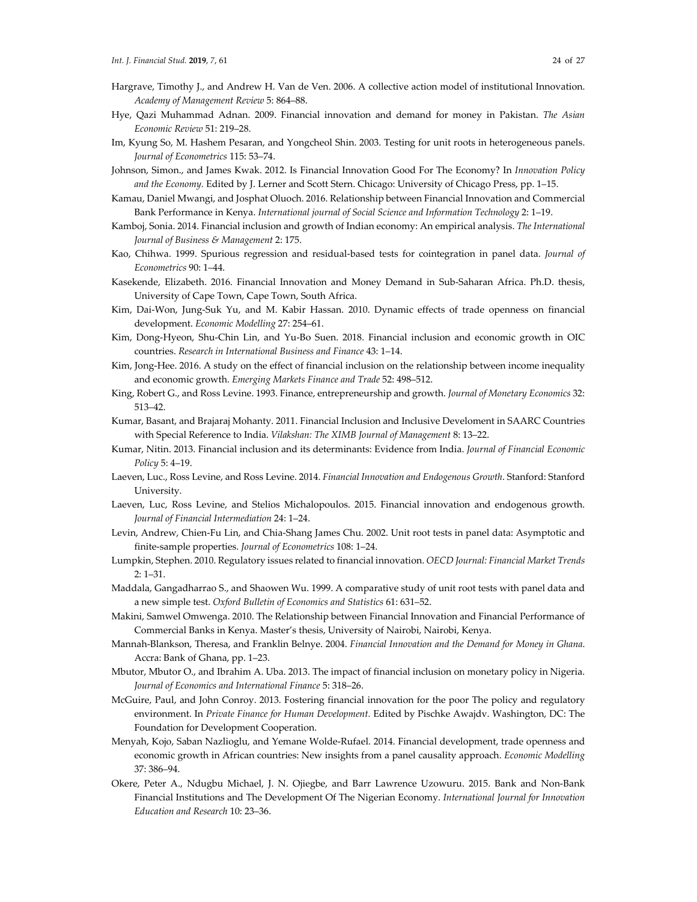- Hargrave, Timothy J., and Andrew H. Van de Ven. 2006. A collective action model of institutional Innovation. *Academy of Management Review* 5: 864–88.
- Hye, Qazi Muhammad Adnan. 2009. Financial innovation and demand for money in Pakistan. *The Asian Economic Review* 51: 219–28.
- Im, Kyung So, M. Hashem Pesaran, and Yongcheol Shin. 2003. Testing for unit roots in heterogeneous panels. *Journal of Econometrics* 115: 53–74.
- Johnson, Simon., and James Kwak. 2012. Is Financial Innovation Good For The Economy? In *Innovation Policy and the Economy.* Edited by J. Lerner and Scott Stern. Chicago: University of Chicago Press, pp. 1–15.
- Kamau, Daniel Mwangi, and Josphat Oluoch. 2016. Relationship between Financial Innovation and Commercial Bank Performance in Kenya. *International journal of Social Science and Information Technology* 2: 1–19.
- Kamboj, Sonia. 2014. Financial inclusion and growth of Indian economy: An empirical analysis. *The International Journal of Business & Management* 2: 175.
- Kao, Chihwa. 1999. Spurious regression and residual-based tests for cointegration in panel data. *Journal of Econometrics* 90: 1–44.
- Kasekende, Elizabeth. 2016. Financial Innovation and Money Demand in Sub-Saharan Africa. Ph.D. thesis, University of Cape Town, Cape Town, South Africa.
- Kim, Dai-Won, Jung-Suk Yu, and M. Kabir Hassan. 2010. Dynamic effects of trade openness on financial development. *Economic Modelling* 27: 254–61.
- Kim, Dong-Hyeon, Shu-Chin Lin, and Yu-Bo Suen. 2018. Financial inclusion and economic growth in OIC countries. *Research in International Business and Finance* 43: 1–14.
- Kim, Jong-Hee. 2016. A study on the effect of financial inclusion on the relationship between income inequality and economic growth. *Emerging Markets Finance and Trade* 52: 498–512.
- King, Robert G., and Ross Levine. 1993. Finance, entrepreneurship and growth. *Journal of Monetary Economics* 32: 513–42.
- Kumar, Basant, and Brajaraj Mohanty. 2011. Financial Inclusion and Inclusive Develoment in SAARC Countries with Special Reference to India. *Vilakshan: The XIMB Journal of Management* 8: 13–22.
- Kumar, Nitin. 2013. Financial inclusion and its determinants: Evidence from India. *Journal of Financial Economic Policy* 5: 4–19.
- Laeven, Luc., Ross Levine, and Ross Levine. 2014. *Financial Innovation and Endogenous Growth*. Stanford: Stanford University.
- Laeven, Luc, Ross Levine, and Stelios Michalopoulos. 2015. Financial innovation and endogenous growth. *Journal of Financial Intermediation* 24: 1–24.
- Levin, Andrew, Chien-Fu Lin, and Chia-Shang James Chu. 2002. Unit root tests in panel data: Asymptotic and finite-sample properties. *Journal of Econometrics* 108: 1–24.
- Lumpkin, Stephen. 2010. Regulatory issues related to financial innovation. *OECD Journal: Financial Market Trends* 2: 1–31.
- Maddala, Gangadharrao S., and Shaowen Wu. 1999. A comparative study of unit root tests with panel data and a new simple test. *Oxford Bulletin of Economics and Statistics* 61: 631–52.
- Makini, Samwel Omwenga. 2010. The Relationship between Financial Innovation and Financial Performance of Commercial Banks in Kenya. Master's thesis, University of Nairobi, Nairobi, Kenya.
- Mannah-Blankson, Theresa, and Franklin Belnye. 2004. *Financial Innovation and the Demand for Money in Ghana*. Accra: Bank of Ghana, pp. 1–23.
- Mbutor, Mbutor O., and Ibrahim A. Uba. 2013. The impact of financial inclusion on monetary policy in Nigeria. *Journal of Economics and International Finance* 5: 318–26.
- McGuire, Paul, and John Conroy. 2013. Fostering financial innovation for the poor The policy and regulatory environment. In *Private Finance for Human Development.* Edited by Pischke Awajdv. Washington, DC: The Foundation for Development Cooperation.
- Menyah, Kojo, Saban Nazlioglu, and Yemane Wolde-Rufael. 2014. Financial development, trade openness and economic growth in African countries: New insights from a panel causality approach. *Economic Modelling* 37: 386–94.
- Okere, Peter A., Ndugbu Michael, J. N. Ojiegbe, and Barr Lawrence Uzowuru. 2015. Bank and Non-Bank Financial Institutions and The Development Of The Nigerian Economy. *International Journal for Innovation Education and Research* 10: 23–36.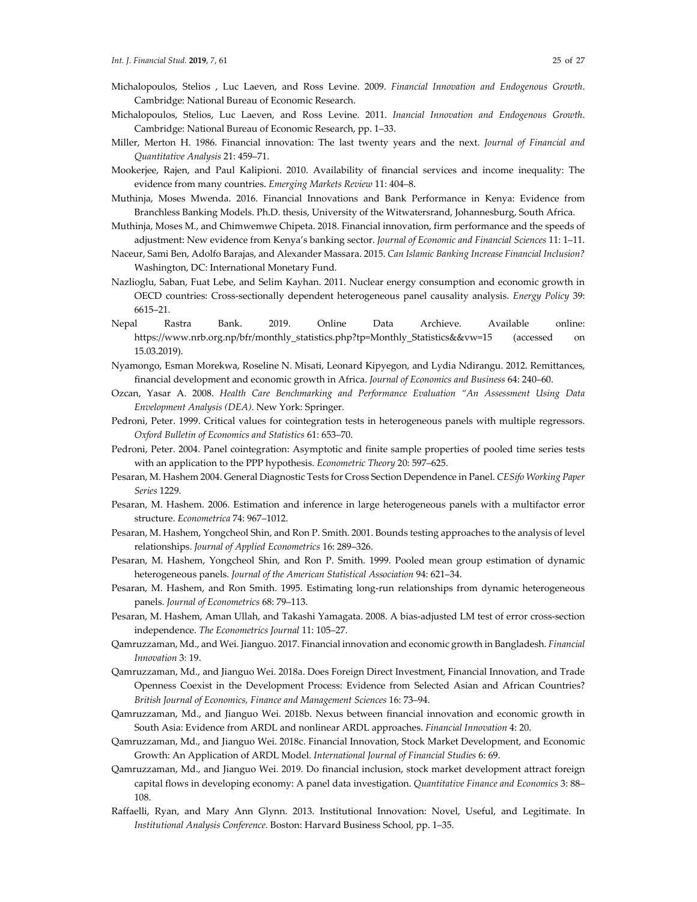- Michalopoulos, Stelios , Luc Laeven, and Ross Levine. 2009. *Financial Innovation and Endogenous Growth*. Cambridge: National Bureau of Economic Research.
- Michalopoulos, Stelios, Luc Laeven, and Ross Levine. 2011. *Inancial Innovation and Endogenous Growth*. Cambridge: National Bureau of Economic Research, pp. 1–33.
- Miller, Merton H. 1986. Financial innovation: The last twenty years and the next. *Journal of Financial and Quantitative Analysis* 21: 459–71.
- Mookerjee, Rajen, and Paul Kalipioni. 2010. Availability of financial services and income inequality: The evidence from many countries. *Emerging Markets Review* 11: 404–8.
- Muthinja, Moses Mwenda. 2016. Financial Innovations and Bank Performance in Kenya: Evidence from Branchless Banking Models. Ph.D. thesis, University of the Witwatersrand, Johannesburg, South Africa.
- Muthinja, Moses M., and Chimwemwe Chipeta. 2018. Financial innovation, firm performance and the speeds of adjustment: New evidence from Kenya's banking sector. *Journal of Economic and Financial Sciences* 11: 1–11.
- Naceur, Sami Ben, Adolfo Barajas, and Alexander Massara. 2015. *Can Islamic Banking Increase Financial Inclusion?* Washington, DC: International Monetary Fund.
- Nazlioglu, Saban, Fuat Lebe, and Selim Kayhan. 2011. Nuclear energy consumption and economic growth in OECD countries: Cross-sectionally dependent heterogeneous panel causality analysis. *Energy Policy* 39: 6615–21.
- Nepal Rastra Bank. 2019. Online Data Archieve. Available online: https://www.nrb.org.np/bfr/monthly\_statistics.php?tp=Monthly\_Statistics&&vw=15 (accessed on 15.03.2019).
- Nyamongo, Esman Morekwa, Roseline N. Misati, Leonard Kipyegon, and Lydia Ndirangu. 2012. Remittances, financial development and economic growth in Africa. *Journal of Economics and Business* 64: 240–60.
- Ozcan, Yasar A. 2008. *Health Care Benchmarking and Performance Evaluation "An Assessment Using Data Envelopment Analysis (DEA)*. New York: Springer.
- Pedroni, Peter. 1999. Critical values for cointegration tests in heterogeneous panels with multiple regressors. *Oxford Bulletin of Economics and Statistics* 61: 653–70.
- Pedroni, Peter. 2004. Panel cointegration: Asymptotic and finite sample properties of pooled time series tests with an application to the PPP hypothesis. *Econometric Theory* 20: 597–625.
- Pesaran, M. Hashem 2004. General Diagnostic Tests for Cross Section Dependence in Panel. *CESifo Working Paper Series* 1229.
- Pesaran, M. Hashem. 2006. Estimation and inference in large heterogeneous panels with a multifactor error structure. *Econometrica* 74: 967–1012.
- Pesaran, M. Hashem, Yongcheol Shin, and Ron P. Smith. 2001. Bounds testing approaches to the analysis of level relationships. *Journal of Applied Econometrics* 16: 289–326.
- Pesaran, M. Hashem, Yongcheol Shin, and Ron P. Smith. 1999. Pooled mean group estimation of dynamic heterogeneous panels. *Journal of the American Statistical Association* 94: 621–34.
- Pesaran, M. Hashem, and Ron Smith. 1995. Estimating long-run relationships from dynamic heterogeneous panels. *Journal of Econometrics* 68: 79–113.
- Pesaran, M. Hashem, Aman Ullah, and Takashi Yamagata. 2008. A bias-adjusted LM test of error cross-section independence. *The Econometrics Journal* 11: 105–27.
- Qamruzzaman, Md., and Wei. Jianguo. 2017. Financial innovation and economic growth in Bangladesh. *Financial Innovation* 3: 19.
- Qamruzzaman, Md., and Jianguo Wei. 2018a. Does Foreign Direct Investment, Financial Innovation, and Trade Openness Coexist in the Development Process: Evidence from Selected Asian and African Countries? *British Journal of Economics, Finance and Management Sciences* 16: 73–94.
- Qamruzzaman, Md., and Jianguo Wei. 2018b. Nexus between financial innovation and economic growth in South Asia: Evidence from ARDL and nonlinear ARDL approaches. *Financial Innovation* 4: 20.
- Qamruzzaman, Md., and Jianguo Wei. 2018c. Financial Innovation, Stock Market Development, and Economic Growth: An Application of ARDL Model. *International Journal of Financial Studies* 6: 69.
- Qamruzzaman, Md., and Jianguo Wei. 2019. Do financial inclusion, stock market development attract foreign capital flows in developing economy: A panel data investigation. *Quantitative Finance and Economics* 3: 88– 108.
- Raffaelli, Ryan, and Mary Ann Glynn. 2013. Institutional Innovation: Novel, Useful, and Legitimate. In *Institutional Analysis Conference.* Boston: Harvard Business School, pp. 1–35.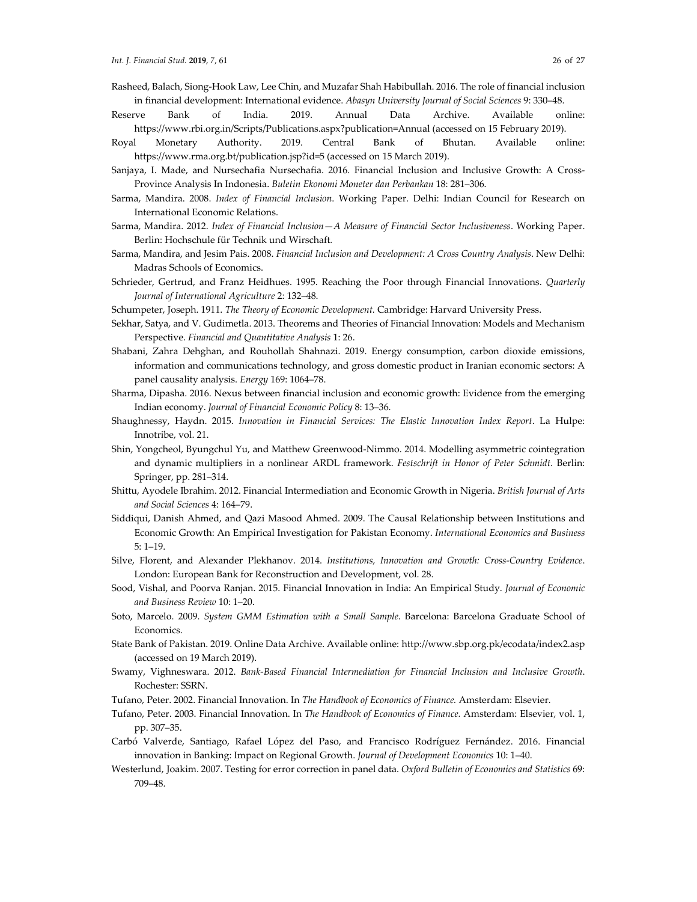- Rasheed, Balach, Siong-Hook Law, Lee Chin, and Muzafar Shah Habibullah. 2016. The role of financial inclusion in financial development: International evidence. *Abasyn University Journal of Social Sciences* 9: 330–48.
- Reserve Bank of India. 2019. Annual Data Archive. Available online: https://www.rbi.org.in/Scripts/Publications.aspx?publication=Annual (accessed on 15 February 2019).
- Royal Monetary Authority. 2019. Central Bank of Bhutan. Available online: https://www.rma.org.bt/publication.jsp?id=5 (accessed on 15 March 2019).
- Sanjaya, I. Made, and Nursechafia Nursechafia. 2016. Financial Inclusion and Inclusive Growth: A Cross-Province Analysis In Indonesia. *Buletin Ekonomi Moneter dan Perbankan* 18: 281–306.
- Sarma, Mandira. 2008. *Index of Financial Inclusion*. Working Paper. Delhi: Indian Council for Research on International Economic Relations.
- Sarma, Mandira. 2012. *Index of Financial Inclusion—A Measure of Financial Sector Inclusiveness*. Working Paper. Berlin: Hochschule für Technik und Wirschaft*.*
- Sarma, Mandira, and Jesim Pais. 2008. *Financial Inclusion and Development: A Cross Country Analysis*. New Delhi: Madras Schools of Economics.
- Schrieder, Gertrud, and Franz Heidhues. 1995. Reaching the Poor through Financial Innovations. *Quarterly Journal of International Agriculture* 2: 132–48.

Schumpeter, Joseph. 1911. *The Theory of Economic Development.* Cambridge: Harvard University Press.

- Sekhar, Satya, and V. Gudimetla. 2013. Theorems and Theories of Financial Innovation: Models and Mechanism Perspective. *Financial and Quantitative Analysis* 1: 26.
- Shabani, Zahra Dehghan, and Rouhollah Shahnazi. 2019. Energy consumption, carbon dioxide emissions, information and communications technology, and gross domestic product in Iranian economic sectors: A panel causality analysis. *Energy* 169: 1064–78.
- Sharma, Dipasha. 2016. Nexus between financial inclusion and economic growth: Evidence from the emerging Indian economy. *Journal of Financial Economic Policy* 8: 13–36.
- Shaughnessy, Haydn. 2015. *Innovation in Financial Services: The Elastic Innovation Index Report*. La Hulpe: Innotribe, vol. 21.
- Shin, Yongcheol, Byungchul Yu, and Matthew Greenwood-Nimmo. 2014. Modelling asymmetric cointegration and dynamic multipliers in a nonlinear ARDL framework. *Festschrift in Honor of Peter Schmidt.* Berlin: Springer, pp. 281–314.
- Shittu, Ayodele Ibrahim. 2012. Financial Intermediation and Economic Growth in Nigeria. *British Journal of Arts and Social Sciences* 4: 164–79.
- Siddiqui, Danish Ahmed, and Qazi Masood Ahmed. 2009. The Causal Relationship between Institutions and Economic Growth: An Empirical Investigation for Pakistan Economy. *International Economics and Business* 5: 1–19.
- Silve, Florent, and Alexander Plekhanov. 2014. *Institutions, Innovation and Growth: Cross-Country Evidence*. London: European Bank for Reconstruction and Development, vol. 28.
- Sood, Vishal, and Poorva Ranjan. 2015. Financial Innovation in India: An Empirical Study. *Journal of Economic and Business Review* 10: 1–20.
- Soto, Marcelo. 2009. *System GMM Estimation with a Small Sample*. Barcelona: Barcelona Graduate School of Economics.
- State Bank of Pakistan. 2019. Online Data Archive. Available online: http://www.sbp.org.pk/ecodata/index2.asp (accessed on 19 March 2019).
- Swamy, Vighneswara. 2012. *Bank-Based Financial Intermediation for Financial Inclusion and Inclusive Growth*. Rochester: SSRN.
- Tufano, Peter. 2002. Financial Innovation. In *The Handbook of Economics of Finance.* Amsterdam: Elsevier*.*
- Tufano, Peter. 2003. Financial Innovation. In *The Handbook of Economics of Finance.* Amsterdam: Elsevier*,* vol. 1, pp. 307–35.
- Carbó Valverde, Santiago, Rafael López del Paso, and Francisco Rodríguez Fernández. 2016. Financial innovation in Banking: Impact on Regional Growth. *Journal of Development Economics* 10: 1–40.
- Westerlund, Joakim. 2007. Testing for error correction in panel data. *Oxford Bulletin of Economics and Statistics* 69: 709–48.